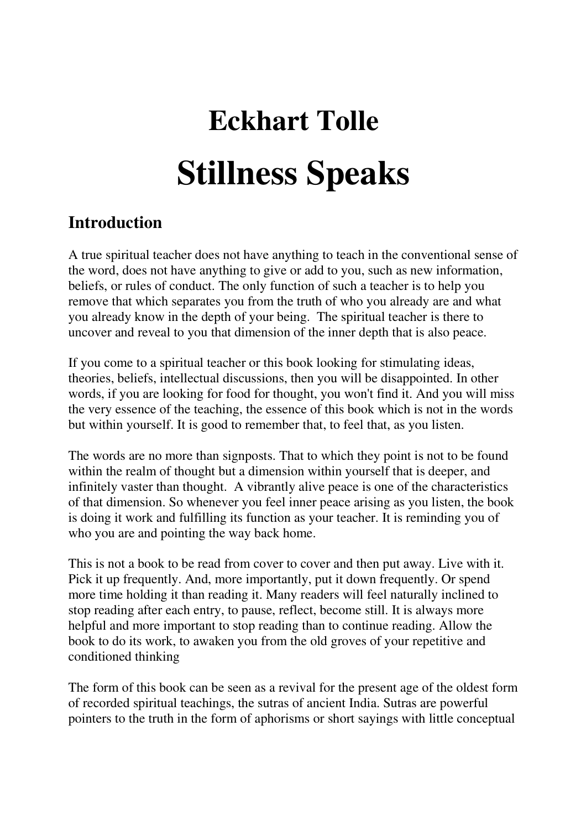# **Eckhart Tolle Stillness Speaks**

#### **Introduction**

A true spiritual teacher does not have anything to teach in the conventional sense of the word, does not have anything to give or add to you, such as new information, beliefs, or rules of conduct. The only function of such a teacher is to help you remove that which separates you from the truth of who you already are and what you already know in the depth of your being. The spiritual teacher is there to uncover and reveal to you that dimension of the inner depth that is also peace.

If you come to a spiritual teacher or this book looking for stimulating ideas, theories, beliefs, intellectual discussions, then you will be disappointed. In other words, if you are looking for food for thought, you won't find it. And you will miss the very essence of the teaching, the essence of this book which is not in the words but within yourself. It is good to remember that, to feel that, as you listen.

The words are no more than signposts. That to which they point is not to be found within the realm of thought but a dimension within yourself that is deeper, and infinitely vaster than thought. A vibrantly alive peace is one of the characteristics of that dimension. So whenever you feel inner peace arising as you listen, the book is doing it work and fulfilling its function as your teacher. It is reminding you of who you are and pointing the way back home.

This is not a book to be read from cover to cover and then put away. Live with it. Pick it up frequently. And, more importantly, put it down frequently. Or spend more time holding it than reading it. Many readers will feel naturally inclined to stop reading after each entry, to pause, reflect, become still. It is always more helpful and more important to stop reading than to continue reading. Allow the book to do its work, to awaken you from the old groves of your repetitive and conditioned thinking

The form of this book can be seen as a revival for the present age of the oldest form of recorded spiritual teachings, the sutras of ancient India. Sutras are powerful pointers to the truth in the form of aphorisms or short sayings with little conceptual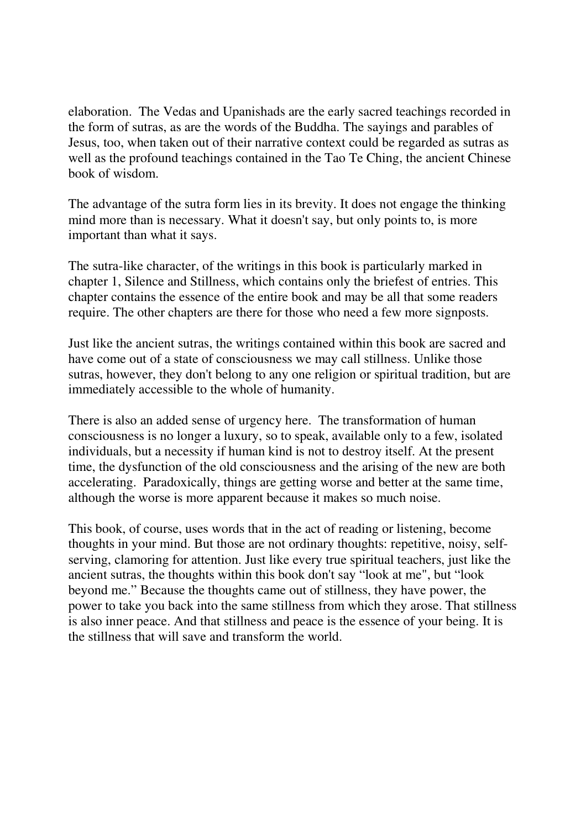elaboration. The Vedas and Upanishads are the early sacred teachings recorded in the form of sutras, as are the words of the Buddha. The sayings and parables of Jesus, too, when taken out of their narrative context could be regarded as sutras as well as the profound teachings contained in the Tao Te Ching, the ancient Chinese book of wisdom.

The advantage of the sutra form lies in its brevity. It does not engage the thinking mind more than is necessary. What it doesn't say, but only points to, is more important than what it says.

The sutra-like character, of the writings in this book is particularly marked in chapter 1, Silence and Stillness, which contains only the briefest of entries. This chapter contains the essence of the entire book and may be all that some readers require. The other chapters are there for those who need a few more signposts.

Just like the ancient sutras, the writings contained within this book are sacred and have come out of a state of consciousness we may call stillness. Unlike those sutras, however, they don't belong to any one religion or spiritual tradition, but are immediately accessible to the whole of humanity.

There is also an added sense of urgency here. The transformation of human consciousness is no longer a luxury, so to speak, available only to a few, isolated individuals, but a necessity if human kind is not to destroy itself. At the present time, the dysfunction of the old consciousness and the arising of the new are both accelerating. Paradoxically, things are getting worse and better at the same time, although the worse is more apparent because it makes so much noise.

This book, of course, uses words that in the act of reading or listening, become thoughts in your mind. But those are not ordinary thoughts: repetitive, noisy, selfserving, clamoring for attention. Just like every true spiritual teachers, just like the ancient sutras, the thoughts within this book don't say "look at me", but "look beyond me." Because the thoughts came out of stillness, they have power, the power to take you back into the same stillness from which they arose. That stillness is also inner peace. And that stillness and peace is the essence of your being. It is the stillness that will save and transform the world.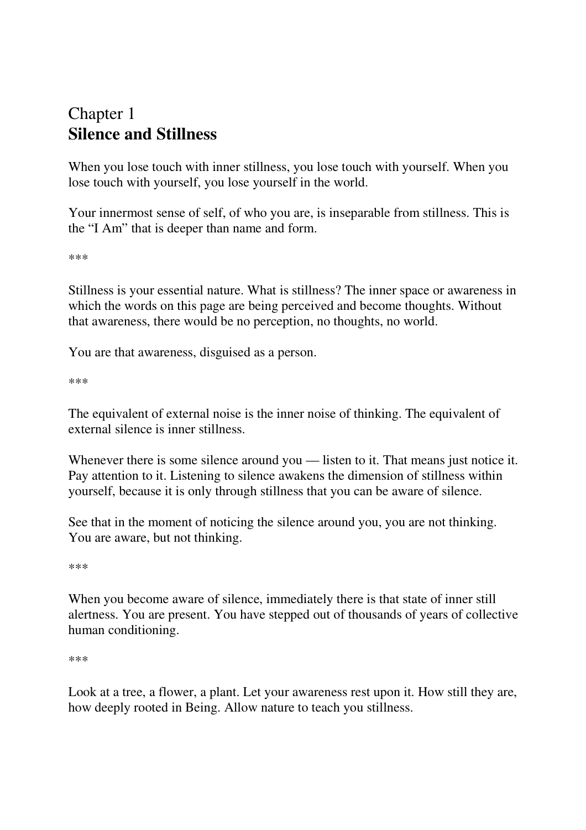#### Chapter 1 **Silence and Stillness**

When you lose touch with inner stillness, you lose touch with yourself. When you lose touch with yourself, you lose yourself in the world.

Your innermost sense of self, of who you are, is inseparable from stillness. This is the "I Am" that is deeper than name and form.

\*\*\*

Stillness is your essential nature. What is stillness? The inner space or awareness in which the words on this page are being perceived and become thoughts. Without that awareness, there would be no perception, no thoughts, no world.

You are that awareness, disguised as a person.

\*\*\*

The equivalent of external noise is the inner noise of thinking. The equivalent of external silence is inner stillness.

Whenever there is some silence around you — listen to it. That means just notice it. Pay attention to it. Listening to silence awakens the dimension of stillness within yourself, because it is only through stillness that you can be aware of silence.

See that in the moment of noticing the silence around you, you are not thinking. You are aware, but not thinking.

\*\*\*

When you become aware of silence, immediately there is that state of inner still alertness. You are present. You have stepped out of thousands of years of collective human conditioning.

\*\*\*

Look at a tree, a flower, a plant. Let your awareness rest upon it. How still they are, how deeply rooted in Being. Allow nature to teach you stillness.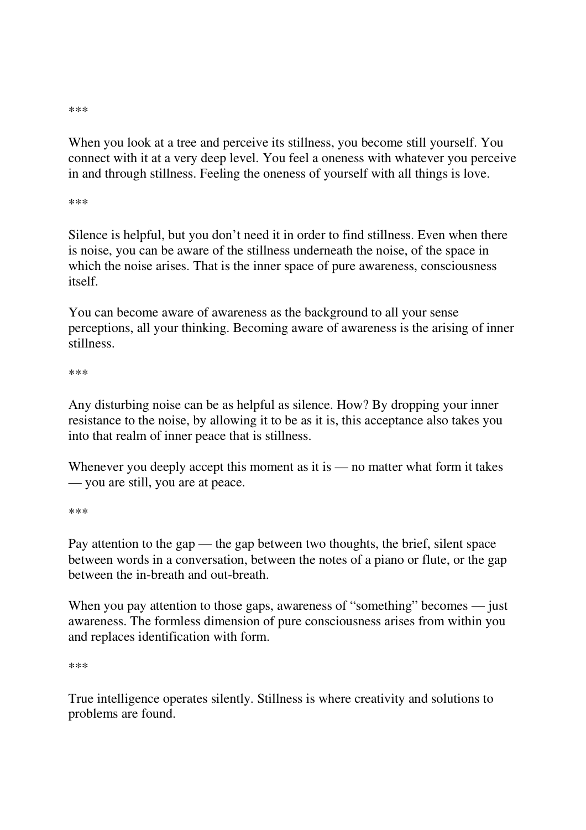\*\*\*

When you look at a tree and perceive its stillness, you become still yourself. You connect with it at a very deep level. You feel a oneness with whatever you perceive in and through stillness. Feeling the oneness of yourself with all things is love.

\*\*\*

Silence is helpful, but you don't need it in order to find stillness. Even when there is noise, you can be aware of the stillness underneath the noise, of the space in which the noise arises. That is the inner space of pure awareness, consciousness itself.

You can become aware of awareness as the background to all your sense perceptions, all your thinking. Becoming aware of awareness is the arising of inner stillness.

\*\*\*

Any disturbing noise can be as helpful as silence. How? By dropping your inner resistance to the noise, by allowing it to be as it is, this acceptance also takes you into that realm of inner peace that is stillness.

Whenever you deeply accept this moment as it is — no matter what form it takes — you are still, you are at peace.

\*\*\*

Pay attention to the gap — the gap between two thoughts, the brief, silent space between words in a conversation, between the notes of a piano or flute, or the gap between the in-breath and out-breath.

When you pay attention to those gaps, awareness of "something" becomes — just awareness. The formless dimension of pure consciousness arises from within you and replaces identification with form.

\*\*\*

True intelligence operates silently. Stillness is where creativity and solutions to problems are found.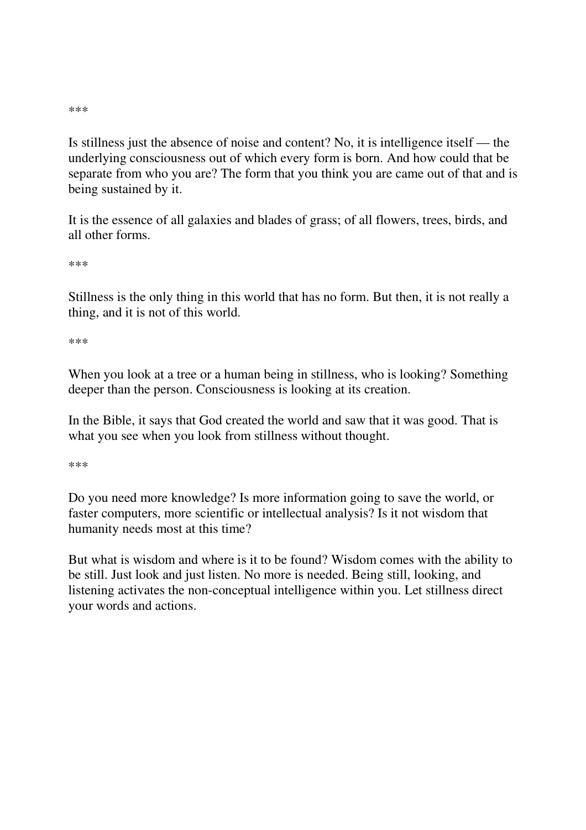\*\*\*

Is stillness just the absence of noise and content? No, it is intelligence itself — the underlying consciousness out of which every form is born. And how could that be separate from who you are? The form that you think you are came out of that and is being sustained by it.

It is the essence of all galaxies and blades of grass; of all flowers, trees, birds, and all other forms.

\*\*\*

Stillness is the only thing in this world that has no form. But then, it is not really a thing, and it is not of this world.

\*\*\*

When you look at a tree or a human being in stillness, who is looking? Something deeper than the person. Consciousness is looking at its creation.

In the Bible, it says that God created the world and saw that it was good. That is what you see when you look from stillness without thought.

\*\*\*

Do you need more knowledge? Is more information going to save the world, or faster computers, more scientific or intellectual analysis? Is it not wisdom that humanity needs most at this time?

But what is wisdom and where is it to be found? Wisdom comes with the ability to be still. Just look and just listen. No more is needed. Being still, looking, and listening activates the non-conceptual intelligence within you. Let stillness direct your words and actions.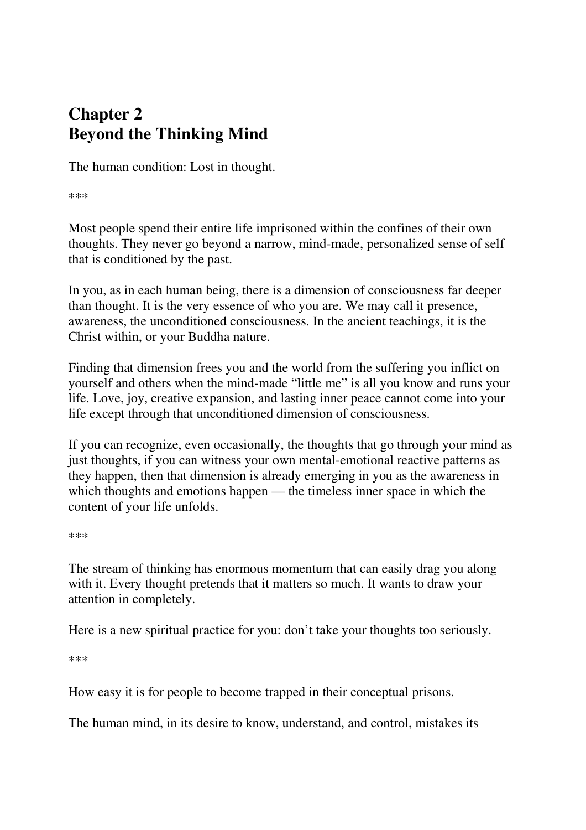### **Chapter 2 Beyond the Thinking Mind**

The human condition: Lost in thought.

\*\*\*

Most people spend their entire life imprisoned within the confines of their own thoughts. They never go beyond a narrow, mind-made, personalized sense of self that is conditioned by the past.

In you, as in each human being, there is a dimension of consciousness far deeper than thought. It is the very essence of who you are. We may call it presence, awareness, the unconditioned consciousness. In the ancient teachings, it is the Christ within, or your Buddha nature.

Finding that dimension frees you and the world from the suffering you inflict on yourself and others when the mind-made "little me" is all you know and runs your life. Love, joy, creative expansion, and lasting inner peace cannot come into your life except through that unconditioned dimension of consciousness.

If you can recognize, even occasionally, the thoughts that go through your mind as just thoughts, if you can witness your own mental-emotional reactive patterns as they happen, then that dimension is already emerging in you as the awareness in which thoughts and emotions happen — the timeless inner space in which the content of your life unfolds.

\*\*\*

The stream of thinking has enormous momentum that can easily drag you along with it. Every thought pretends that it matters so much. It wants to draw your attention in completely.

Here is a new spiritual practice for you: don't take your thoughts too seriously.

\*\*\*

How easy it is for people to become trapped in their conceptual prisons.

The human mind, in its desire to know, understand, and control, mistakes its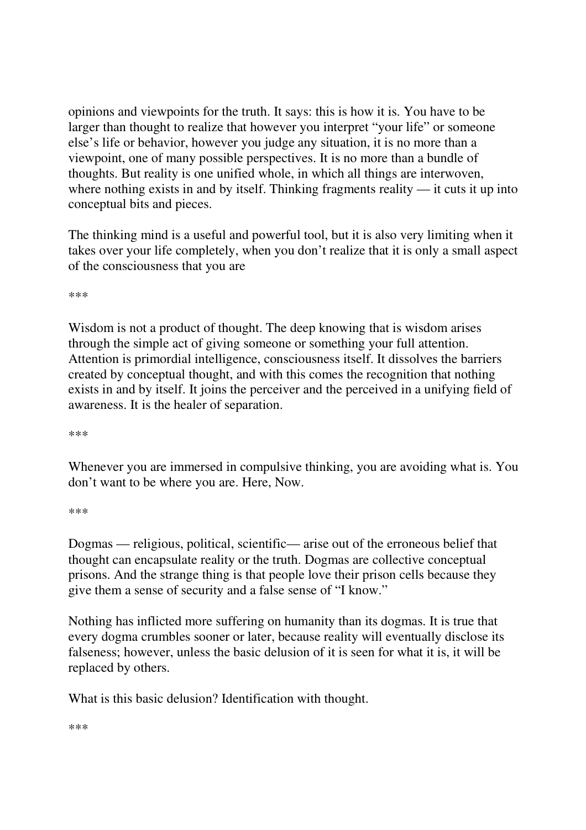opinions and viewpoints for the truth. It says: this is how it is. You have to be larger than thought to realize that however you interpret "your life" or someone else's life or behavior, however you judge any situation, it is no more than a viewpoint, one of many possible perspectives. It is no more than a bundle of thoughts. But reality is one unified whole, in which all things are interwoven, where nothing exists in and by itself. Thinking fragments reality — it cuts it up into conceptual bits and pieces.

The thinking mind is a useful and powerful tool, but it is also very limiting when it takes over your life completely, when you don't realize that it is only a small aspect of the consciousness that you are

\*\*\*

Wisdom is not a product of thought. The deep knowing that is wisdom arises through the simple act of giving someone or something your full attention. Attention is primordial intelligence, consciousness itself. It dissolves the barriers created by conceptual thought, and with this comes the recognition that nothing exists in and by itself. It joins the perceiver and the perceived in a unifying field of awareness. It is the healer of separation.

\*\*\*

Whenever you are immersed in compulsive thinking, you are avoiding what is. You don't want to be where you are. Here, Now.

\*\*\*

Dogmas — religious, political, scientific— arise out of the erroneous belief that thought can encapsulate reality or the truth. Dogmas are collective conceptual prisons. And the strange thing is that people love their prison cells because they give them a sense of security and a false sense of "I know."

Nothing has inflicted more suffering on humanity than its dogmas. It is true that every dogma crumbles sooner or later, because reality will eventually disclose its falseness; however, unless the basic delusion of it is seen for what it is, it will be replaced by others.

What is this basic delusion? Identification with thought.

\*\*\*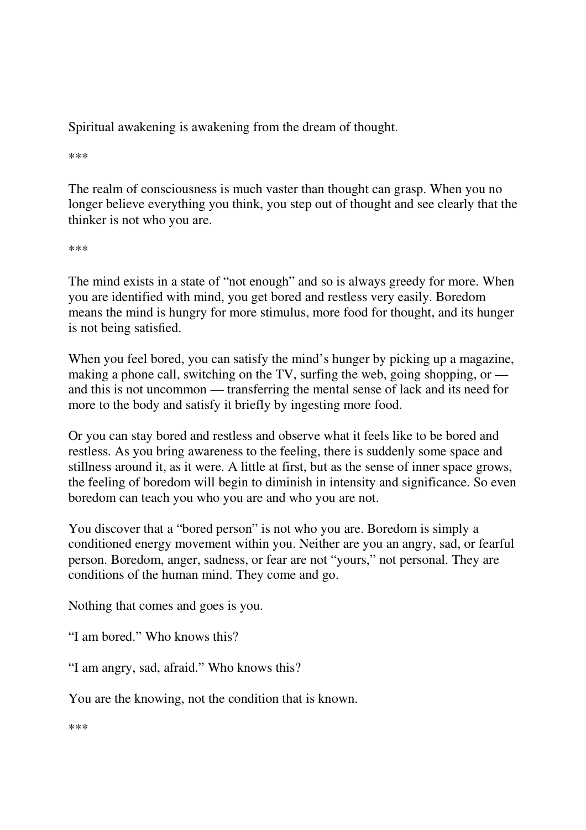Spiritual awakening is awakening from the dream of thought.

\*\*\*

The realm of consciousness is much vaster than thought can grasp. When you no longer believe everything you think, you step out of thought and see clearly that the thinker is not who you are.

\*\*\*

The mind exists in a state of "not enough" and so is always greedy for more. When you are identified with mind, you get bored and restless very easily. Boredom means the mind is hungry for more stimulus, more food for thought, and its hunger is not being satisfied.

When you feel bored, you can satisfy the mind's hunger by picking up a magazine, making a phone call, switching on the TV, surfing the web, going shopping, or and this is not uncommon — transferring the mental sense of lack and its need for more to the body and satisfy it briefly by ingesting more food.

Or you can stay bored and restless and observe what it feels like to be bored and restless. As you bring awareness to the feeling, there is suddenly some space and stillness around it, as it were. A little at first, but as the sense of inner space grows, the feeling of boredom will begin to diminish in intensity and significance. So even boredom can teach you who you are and who you are not.

You discover that a "bored person" is not who you are. Boredom is simply a conditioned energy movement within you. Neither are you an angry, sad, or fearful person. Boredom, anger, sadness, or fear are not "yours," not personal. They are conditions of the human mind. They come and go.

Nothing that comes and goes is you.

"I am bored." Who knows this?

"I am angry, sad, afraid." Who knows this?

You are the knowing, not the condition that is known.

\*\*\*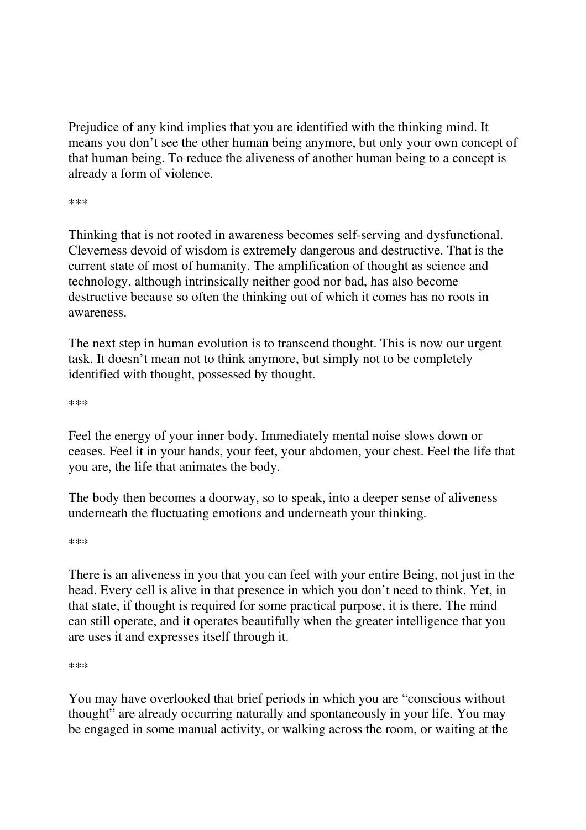Prejudice of any kind implies that you are identified with the thinking mind. It means you don't see the other human being anymore, but only your own concept of that human being. To reduce the aliveness of another human being to a concept is already a form of violence.

\*\*\*

Thinking that is not rooted in awareness becomes self-serving and dysfunctional. Cleverness devoid of wisdom is extremely dangerous and destructive. That is the current state of most of humanity. The amplification of thought as science and technology, although intrinsically neither good nor bad, has also become destructive because so often the thinking out of which it comes has no roots in awareness.

The next step in human evolution is to transcend thought. This is now our urgent task. It doesn't mean not to think anymore, but simply not to be completely identified with thought, possessed by thought.

\*\*\*

Feel the energy of your inner body. Immediately mental noise slows down or ceases. Feel it in your hands, your feet, your abdomen, your chest. Feel the life that you are, the life that animates the body.

The body then becomes a doorway, so to speak, into a deeper sense of aliveness underneath the fluctuating emotions and underneath your thinking.

\*\*\*

There is an aliveness in you that you can feel with your entire Being, not just in the head. Every cell is alive in that presence in which you don't need to think. Yet, in that state, if thought is required for some practical purpose, it is there. The mind can still operate, and it operates beautifully when the greater intelligence that you are uses it and expresses itself through it.

\*\*\*

You may have overlooked that brief periods in which you are "conscious without thought" are already occurring naturally and spontaneously in your life. You may be engaged in some manual activity, or walking across the room, or waiting at the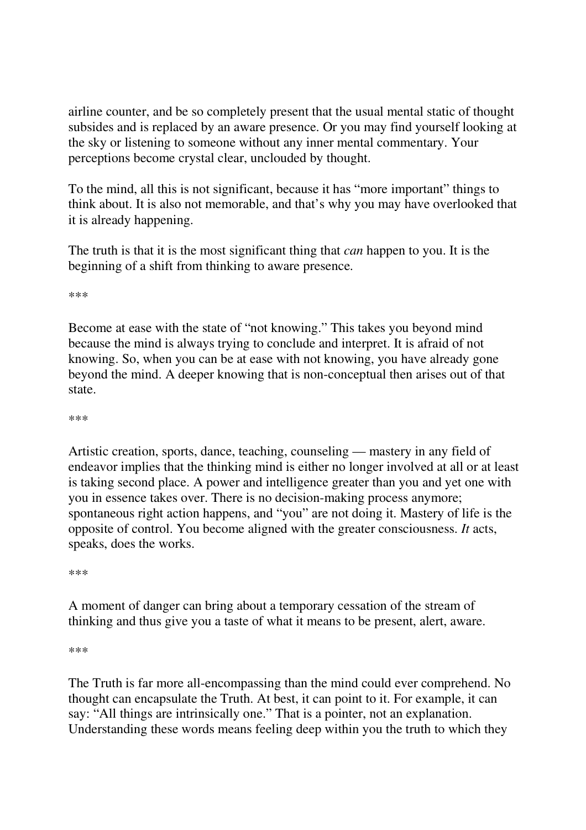airline counter, and be so completely present that the usual mental static of thought subsides and is replaced by an aware presence. Or you may find yourself looking at the sky or listening to someone without any inner mental commentary. Your perceptions become crystal clear, unclouded by thought.

To the mind, all this is not significant, because it has "more important" things to think about. It is also not memorable, and that's why you may have overlooked that it is already happening.

The truth is that it is the most significant thing that *can* happen to you. It is the beginning of a shift from thinking to aware presence.

\*\*\*

Become at ease with the state of "not knowing." This takes you beyond mind because the mind is always trying to conclude and interpret. It is afraid of not knowing. So, when you can be at ease with not knowing, you have already gone beyond the mind. A deeper knowing that is non-conceptual then arises out of that state.

\*\*\*

Artistic creation, sports, dance, teaching, counseling — mastery in any field of endeavor implies that the thinking mind is either no longer involved at all or at least is taking second place. A power and intelligence greater than you and yet one with you in essence takes over. There is no decision-making process anymore; spontaneous right action happens, and "you" are not doing it. Mastery of life is the opposite of control. You become aligned with the greater consciousness. *It* acts, speaks, does the works.

\*\*\*

A moment of danger can bring about a temporary cessation of the stream of thinking and thus give you a taste of what it means to be present, alert, aware.

\*\*\*

The Truth is far more all-encompassing than the mind could ever comprehend. No thought can encapsulate the Truth. At best, it can point to it. For example, it can say: "All things are intrinsically one." That is a pointer, not an explanation. Understanding these words means feeling deep within you the truth to which they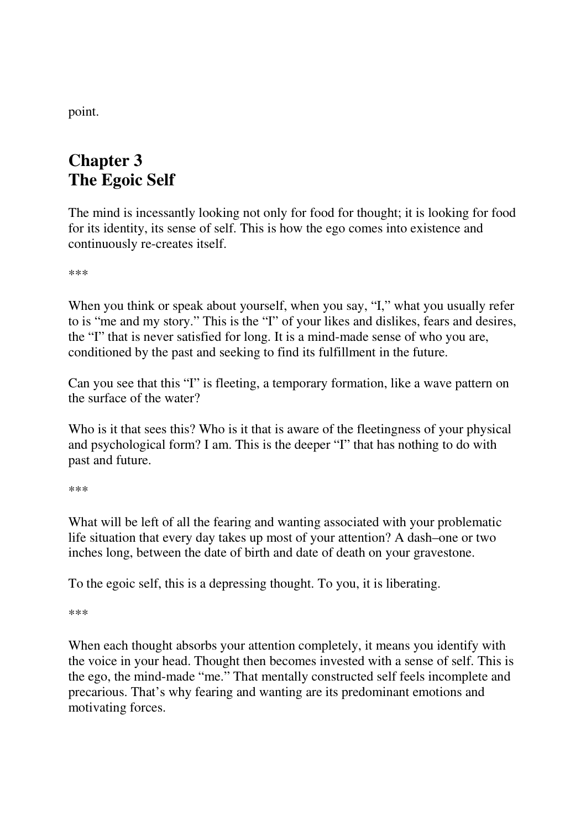point.

## **Chapter 3 The Egoic Self**

The mind is incessantly looking not only for food for thought; it is looking for food for its identity, its sense of self. This is how the ego comes into existence and continuously re-creates itself.

\*\*\*

When you think or speak about yourself, when you say, "I," what you usually refer to is "me and my story." This is the "I" of your likes and dislikes, fears and desires, the "I" that is never satisfied for long. It is a mind-made sense of who you are, conditioned by the past and seeking to find its fulfillment in the future.

Can you see that this "I" is fleeting, a temporary formation, like a wave pattern on the surface of the water?

Who is it that sees this? Who is it that is aware of the fleetingness of your physical and psychological form? I am. This is the deeper "I" that has nothing to do with past and future.

\*\*\*

What will be left of all the fearing and wanting associated with your problematic life situation that every day takes up most of your attention? A dash–one or two inches long, between the date of birth and date of death on your gravestone.

To the egoic self, this is a depressing thought. To you, it is liberating.

\*\*\*

When each thought absorbs your attention completely, it means you identify with the voice in your head. Thought then becomes invested with a sense of self. This is the ego, the mind-made "me." That mentally constructed self feels incomplete and precarious. That's why fearing and wanting are its predominant emotions and motivating forces.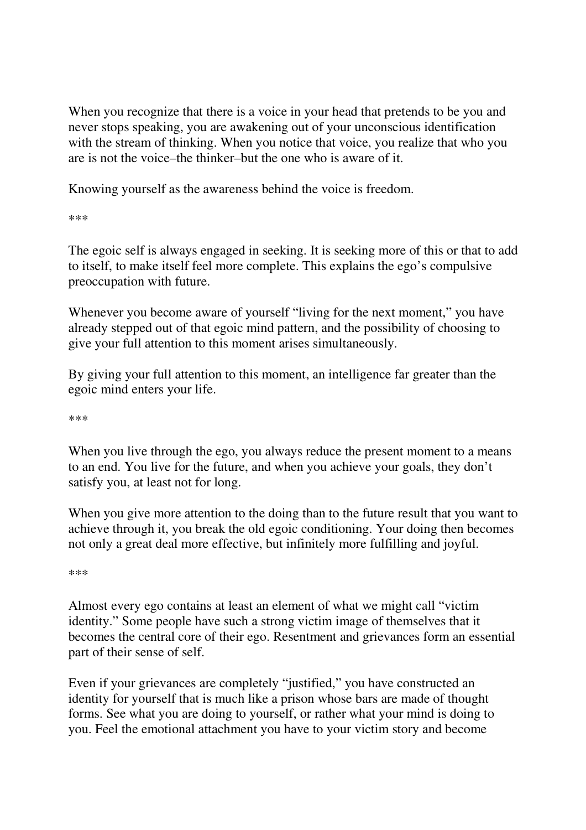When you recognize that there is a voice in your head that pretends to be you and never stops speaking, you are awakening out of your unconscious identification with the stream of thinking. When you notice that voice, you realize that who you are is not the voice–the thinker–but the one who is aware of it.

Knowing yourself as the awareness behind the voice is freedom.

\*\*\*

The egoic self is always engaged in seeking. It is seeking more of this or that to add to itself, to make itself feel more complete. This explains the ego's compulsive preoccupation with future.

Whenever you become aware of yourself "living for the next moment," you have already stepped out of that egoic mind pattern, and the possibility of choosing to give your full attention to this moment arises simultaneously.

By giving your full attention to this moment, an intelligence far greater than the egoic mind enters your life.

\*\*\*

When you live through the ego, you always reduce the present moment to a means to an end. You live for the future, and when you achieve your goals, they don't satisfy you, at least not for long.

When you give more attention to the doing than to the future result that you want to achieve through it, you break the old egoic conditioning. Your doing then becomes not only a great deal more effective, but infinitely more fulfilling and joyful.

\*\*\*

Almost every ego contains at least an element of what we might call "victim identity." Some people have such a strong victim image of themselves that it becomes the central core of their ego. Resentment and grievances form an essential part of their sense of self.

Even if your grievances are completely "justified," you have constructed an identity for yourself that is much like a prison whose bars are made of thought forms. See what you are doing to yourself, or rather what your mind is doing to you. Feel the emotional attachment you have to your victim story and become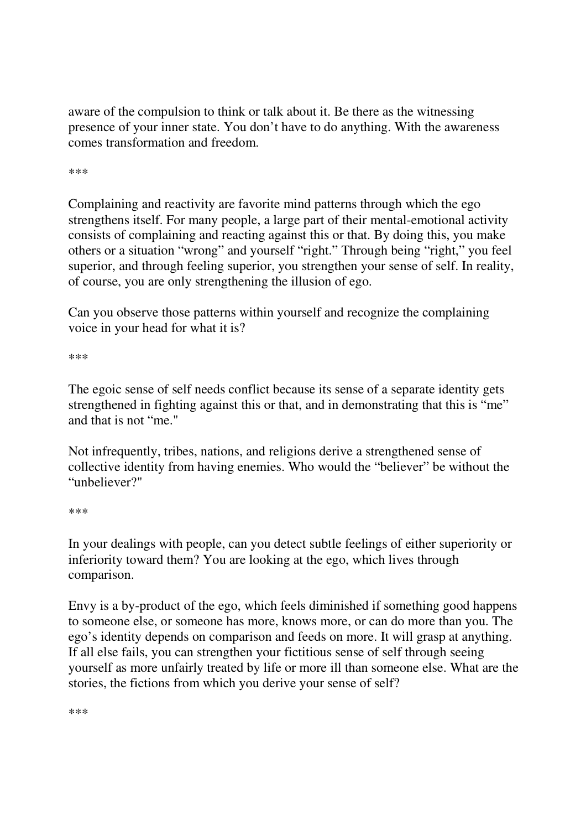aware of the compulsion to think or talk about it. Be there as the witnessing presence of your inner state. You don't have to do anything. With the awareness comes transformation and freedom.

\*\*\*

Complaining and reactivity are favorite mind patterns through which the ego strengthens itself. For many people, a large part of their mental-emotional activity consists of complaining and reacting against this or that. By doing this, you make others or a situation "wrong" and yourself "right." Through being "right," you feel superior, and through feeling superior, you strengthen your sense of self. In reality, of course, you are only strengthening the illusion of ego.

Can you observe those patterns within yourself and recognize the complaining voice in your head for what it is?

\*\*\*

The egoic sense of self needs conflict because its sense of a separate identity gets strengthened in fighting against this or that, and in demonstrating that this is "me" and that is not "me."

Not infrequently, tribes, nations, and religions derive a strengthened sense of collective identity from having enemies. Who would the "believer" be without the "unbeliever?"

\*\*\*

In your dealings with people, can you detect subtle feelings of either superiority or inferiority toward them? You are looking at the ego, which lives through comparison.

Envy is a by-product of the ego, which feels diminished if something good happens to someone else, or someone has more, knows more, or can do more than you. The ego's identity depends on comparison and feeds on more. It will grasp at anything. If all else fails, you can strengthen your fictitious sense of self through seeing yourself as more unfairly treated by life or more ill than someone else. What are the stories, the fictions from which you derive your sense of self?

\*\*\*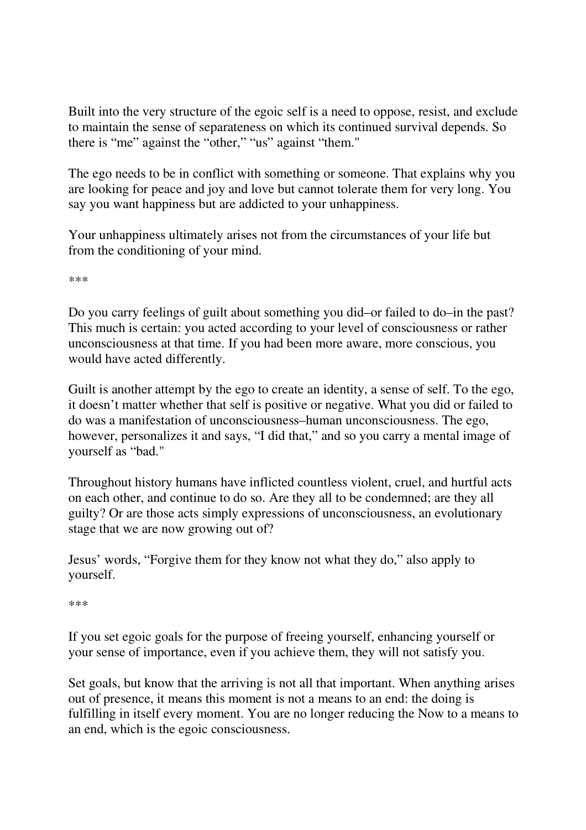Built into the very structure of the egoic self is a need to oppose, resist, and exclude to maintain the sense of separateness on which its continued survival depends. So there is "me" against the "other," "us" against "them."

The ego needs to be in conflict with something or someone. That explains why you are looking for peace and joy and love but cannot tolerate them for very long. You say you want happiness but are addicted to your unhappiness.

Your unhappiness ultimately arises not from the circumstances of your life but from the conditioning of your mind.

\*\*\*

Do you carry feelings of guilt about something you did–or failed to do–in the past? This much is certain: you acted according to your level of consciousness or rather unconsciousness at that time. If you had been more aware, more conscious, you would have acted differently.

Guilt is another attempt by the ego to create an identity, a sense of self. To the ego, it doesn't matter whether that self is positive or negative. What you did or failed to do was a manifestation of unconsciousness–human unconsciousness. The ego, however, personalizes it and says, "I did that," and so you carry a mental image of yourself as "bad."

Throughout history humans have inflicted countless violent, cruel, and hurtful acts on each other, and continue to do so. Are they all to be condemned; are they all guilty? Or are those acts simply expressions of unconsciousness, an evolutionary stage that we are now growing out of?

Jesus' words, "Forgive them for they know not what they do," also apply to yourself.

\*\*\*

If you set egoic goals for the purpose of freeing yourself, enhancing yourself or your sense of importance, even if you achieve them, they will not satisfy you.

Set goals, but know that the arriving is not all that important. When anything arises out of presence, it means this moment is not a means to an end: the doing is fulfilling in itself every moment. You are no longer reducing the Now to a means to an end, which is the egoic consciousness.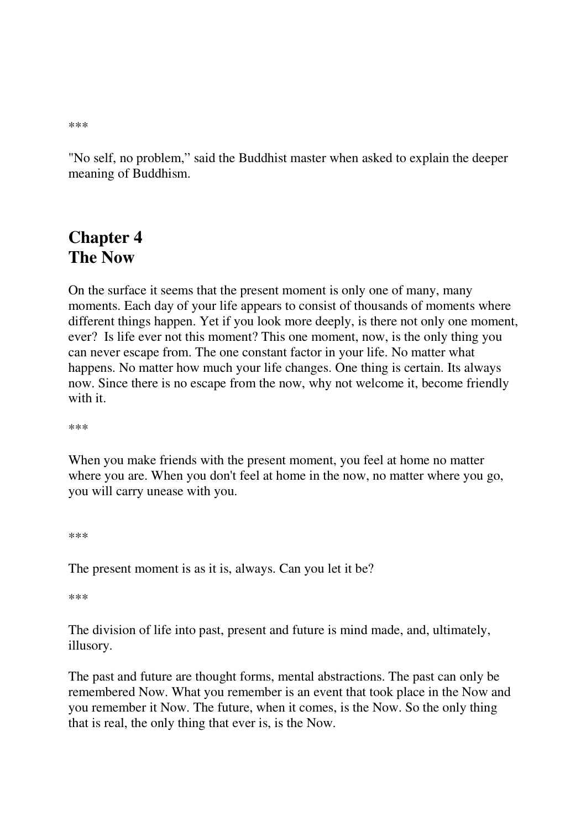"No self, no problem," said the Buddhist master when asked to explain the deeper meaning of Buddhism.

## **Chapter 4 The Now**

On the surface it seems that the present moment is only one of many, many moments. Each day of your life appears to consist of thousands of moments where different things happen. Yet if you look more deeply, is there not only one moment, ever? Is life ever not this moment? This one moment, now, is the only thing you can never escape from. The one constant factor in your life. No matter what happens. No matter how much your life changes. One thing is certain. Its always now. Since there is no escape from the now, why not welcome it, become friendly with it.

\*\*\*

When you make friends with the present moment, you feel at home no matter where you are. When you don't feel at home in the now, no matter where you go, you will carry unease with you.

\*\*\*

The present moment is as it is, always. Can you let it be?

\*\*\*

The division of life into past, present and future is mind made, and, ultimately, illusory.

The past and future are thought forms, mental abstractions. The past can only be remembered Now. What you remember is an event that took place in the Now and you remember it Now. The future, when it comes, is the Now. So the only thing that is real, the only thing that ever is, is the Now.

\*\*\*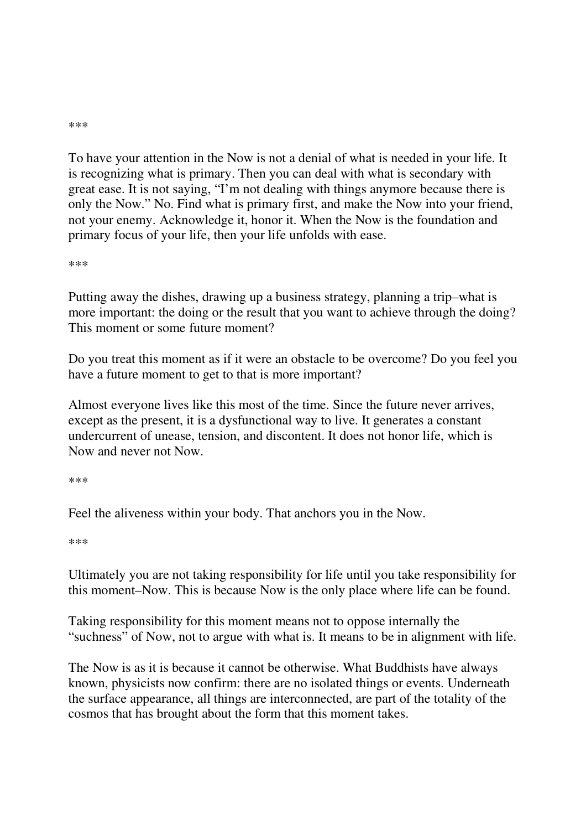#### \*\*\*

To have your attention in the Now is not a denial of what is needed in your life. It is recognizing what is primary. Then you can deal with what is secondary with great ease. It is not saying, "I'm not dealing with things anymore because there is only the Now." No. Find what is primary first, and make the Now into your friend, not your enemy. Acknowledge it, honor it. When the Now is the foundation and primary focus of your life, then your life unfolds with ease.

\*\*\*

Putting away the dishes, drawing up a business strategy, planning a trip–what is more important: the doing or the result that you want to achieve through the doing? This moment or some future moment?

Do you treat this moment as if it were an obstacle to be overcome? Do you feel you have a future moment to get to that is more important?

Almost everyone lives like this most of the time. Since the future never arrives, except as the present, it is a dysfunctional way to live. It generates a constant undercurrent of unease, tension, and discontent. It does not honor life, which is Now and never not Now.

\*\*\*

Feel the aliveness within your body. That anchors you in the Now.

\*\*\*

Ultimately you are not taking responsibility for life until you take responsibility for this moment–Now. This is because Now is the only place where life can be found.

Taking responsibility for this moment means not to oppose internally the "suchness" of Now, not to argue with what is. It means to be in alignment with life.

The Now is as it is because it cannot be otherwise. What Buddhists have always known, physicists now confirm: there are no isolated things or events. Underneath the surface appearance, all things are interconnected, are part of the totality of the cosmos that has brought about the form that this moment takes.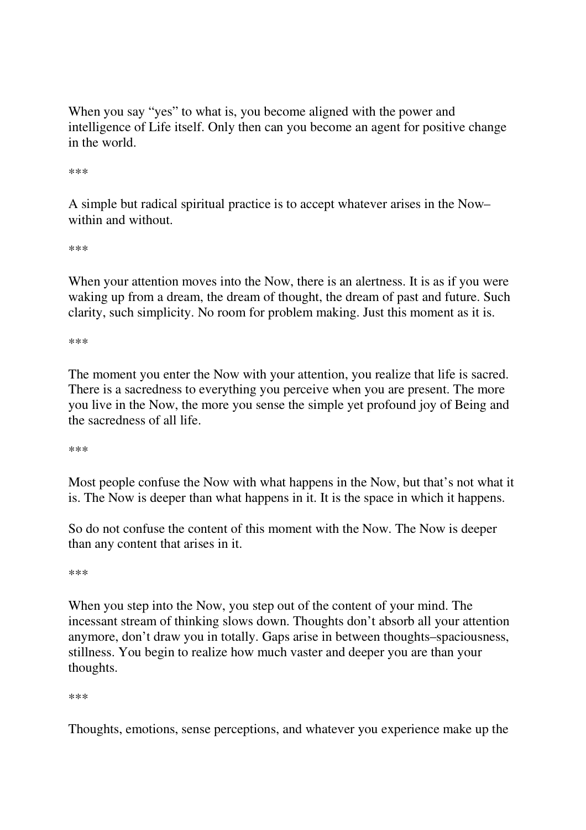When you say "yes" to what is, you become aligned with the power and intelligence of Life itself. Only then can you become an agent for positive change in the world.

\*\*\*

A simple but radical spiritual practice is to accept whatever arises in the Now– within and without.

\*\*\*

When your attention moves into the Now, there is an alertness. It is as if you were waking up from a dream, the dream of thought, the dream of past and future. Such clarity, such simplicity. No room for problem making. Just this moment as it is.

\*\*\*

The moment you enter the Now with your attention, you realize that life is sacred. There is a sacredness to everything you perceive when you are present. The more you live in the Now, the more you sense the simple yet profound joy of Being and the sacredness of all life.

\*\*\*

Most people confuse the Now with what happens in the Now, but that's not what it is. The Now is deeper than what happens in it. It is the space in which it happens.

So do not confuse the content of this moment with the Now. The Now is deeper than any content that arises in it.

\*\*\*

When you step into the Now, you step out of the content of your mind. The incessant stream of thinking slows down. Thoughts don't absorb all your attention anymore, don't draw you in totally. Gaps arise in between thoughts–spaciousness, stillness. You begin to realize how much vaster and deeper you are than your thoughts.

\*\*\*

Thoughts, emotions, sense perceptions, and whatever you experience make up the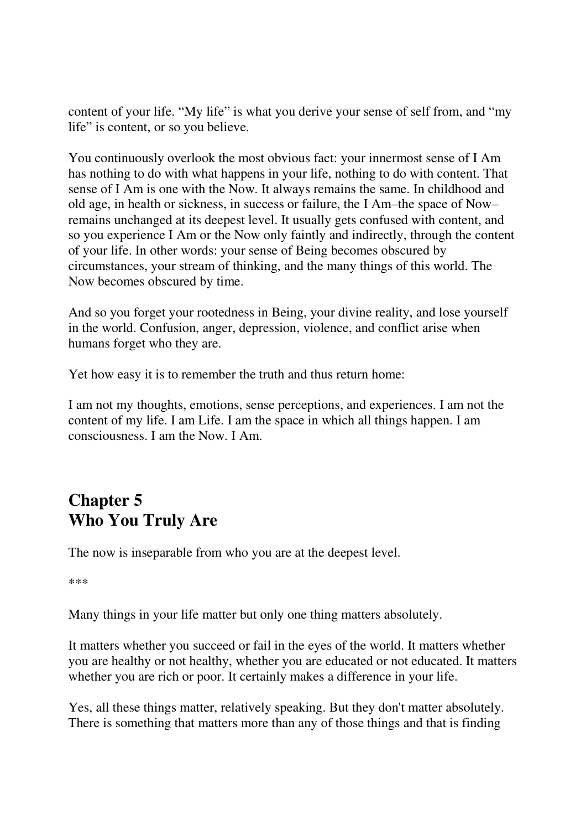content of your life. "My life" is what you derive your sense of self from, and "my life" is content, or so you believe.

You continuously overlook the most obvious fact: your innermost sense of I Am has nothing to do with what happens in your life, nothing to do with content. That sense of I Am is one with the Now. It always remains the same. In childhood and old age, in health or sickness, in success or failure, the I Am–the space of Now– remains unchanged at its deepest level. It usually gets confused with content, and so you experience I Am or the Now only faintly and indirectly, through the content of your life. In other words: your sense of Being becomes obscured by circumstances, your stream of thinking, and the many things of this world. The Now becomes obscured by time.

And so you forget your rootedness in Being, your divine reality, and lose yourself in the world. Confusion, anger, depression, violence, and conflict arise when humans forget who they are.

Yet how easy it is to remember the truth and thus return home:

I am not my thoughts, emotions, sense perceptions, and experiences. I am not the content of my life. I am Life. I am the space in which all things happen. I am consciousness. I am the Now. I Am.

#### **Chapter 5 Who You Truly Are**

The now is inseparable from who you are at the deepest level.

\*\*\*

Many things in your life matter but only one thing matters absolutely.

It matters whether you succeed or fail in the eyes of the world. It matters whether you are healthy or not healthy, whether you are educated or not educated. It matters whether you are rich or poor. It certainly makes a difference in your life.

Yes, all these things matter, relatively speaking. But they don't matter absolutely. There is something that matters more than any of those things and that is finding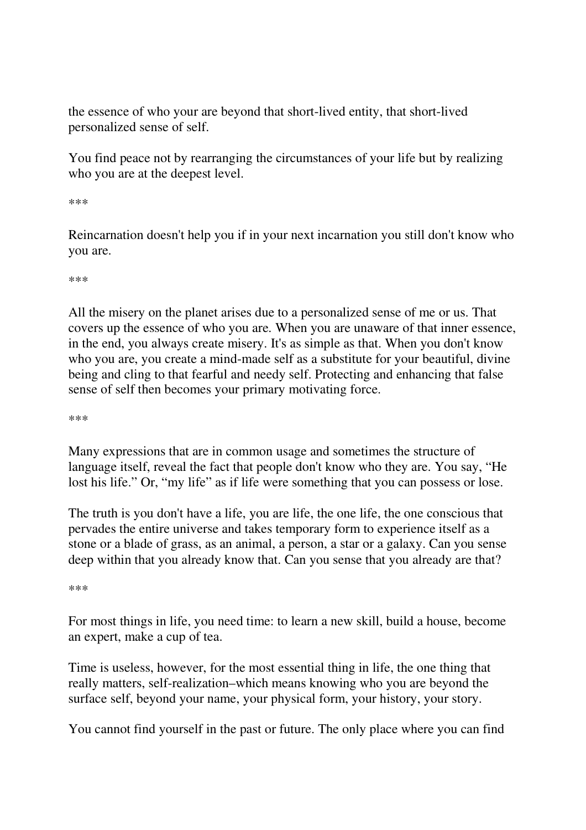the essence of who your are beyond that short-lived entity, that short-lived personalized sense of self.

You find peace not by rearranging the circumstances of your life but by realizing who you are at the deepest level.

\*\*\*

Reincarnation doesn't help you if in your next incarnation you still don't know who you are.

\*\*\*

All the misery on the planet arises due to a personalized sense of me or us. That covers up the essence of who you are. When you are unaware of that inner essence, in the end, you always create misery. It's as simple as that. When you don't know who you are, you create a mind-made self as a substitute for your beautiful, divine being and cling to that fearful and needy self. Protecting and enhancing that false sense of self then becomes your primary motivating force.

\*\*\*

Many expressions that are in common usage and sometimes the structure of language itself, reveal the fact that people don't know who they are. You say, "He lost his life." Or, "my life" as if life were something that you can possess or lose.

The truth is you don't have a life, you are life, the one life, the one conscious that pervades the entire universe and takes temporary form to experience itself as a stone or a blade of grass, as an animal, a person, a star or a galaxy. Can you sense deep within that you already know that. Can you sense that you already are that?

\*\*\*

For most things in life, you need time: to learn a new skill, build a house, become an expert, make a cup of tea.

Time is useless, however, for the most essential thing in life, the one thing that really matters, self-realization–which means knowing who you are beyond the surface self, beyond your name, your physical form, your history, your story.

You cannot find yourself in the past or future. The only place where you can find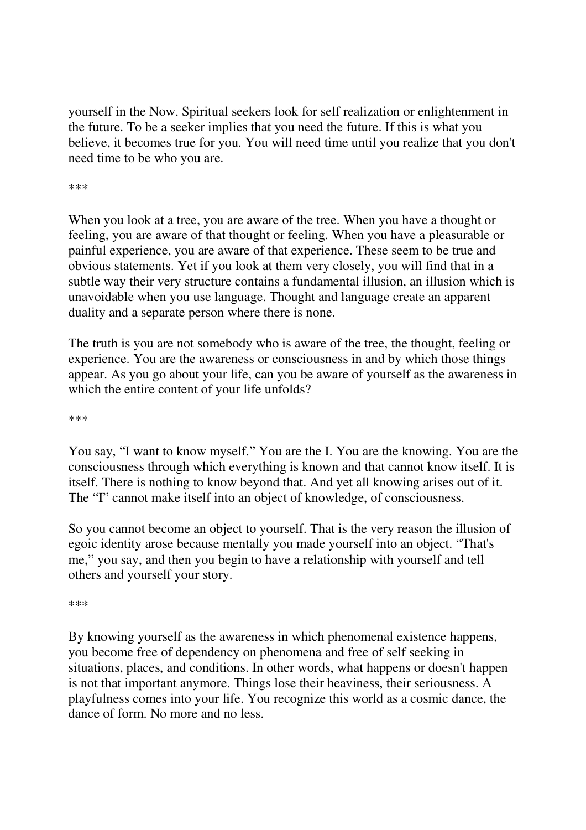yourself in the Now. Spiritual seekers look for self realization or enlightenment in the future. To be a seeker implies that you need the future. If this is what you believe, it becomes true for you. You will need time until you realize that you don't need time to be who you are.

\*\*\*

When you look at a tree, you are aware of the tree. When you have a thought or feeling, you are aware of that thought or feeling. When you have a pleasurable or painful experience, you are aware of that experience. These seem to be true and obvious statements. Yet if you look at them very closely, you will find that in a subtle way their very structure contains a fundamental illusion, an illusion which is unavoidable when you use language. Thought and language create an apparent duality and a separate person where there is none.

The truth is you are not somebody who is aware of the tree, the thought, feeling or experience. You are the awareness or consciousness in and by which those things appear. As you go about your life, can you be aware of yourself as the awareness in which the entire content of your life unfolds?

\*\*\*

You say, "I want to know myself." You are the I. You are the knowing. You are the consciousness through which everything is known and that cannot know itself. It is itself. There is nothing to know beyond that. And yet all knowing arises out of it. The "I" cannot make itself into an object of knowledge, of consciousness.

So you cannot become an object to yourself. That is the very reason the illusion of egoic identity arose because mentally you made yourself into an object. "That's me," you say, and then you begin to have a relationship with yourself and tell others and yourself your story.

\*\*\*

By knowing yourself as the awareness in which phenomenal existence happens, you become free of dependency on phenomena and free of self seeking in situations, places, and conditions. In other words, what happens or doesn't happen is not that important anymore. Things lose their heaviness, their seriousness. A playfulness comes into your life. You recognize this world as a cosmic dance, the dance of form. No more and no less.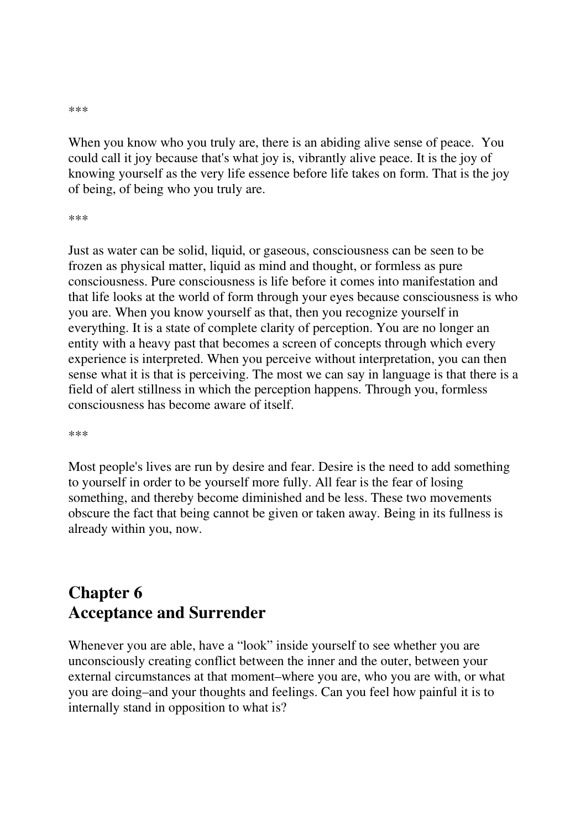When you know who you truly are, there is an abiding alive sense of peace. You could call it joy because that's what joy is, vibrantly alive peace. It is the joy of knowing yourself as the very life essence before life takes on form. That is the joy of being, of being who you truly are.

```
***
```
Just as water can be solid, liquid, or gaseous, consciousness can be seen to be frozen as physical matter, liquid as mind and thought, or formless as pure consciousness. Pure consciousness is life before it comes into manifestation and that life looks at the world of form through your eyes because consciousness is who you are. When you know yourself as that, then you recognize yourself in everything. It is a state of complete clarity of perception. You are no longer an entity with a heavy past that becomes a screen of concepts through which every experience is interpreted. When you perceive without interpretation, you can then sense what it is that is perceiving. The most we can say in language is that there is a field of alert stillness in which the perception happens. Through you, formless consciousness has become aware of itself.

\*\*\*

Most people's lives are run by desire and fear. Desire is the need to add something to yourself in order to be yourself more fully. All fear is the fear of losing something, and thereby become diminished and be less. These two movements obscure the fact that being cannot be given or taken away. Being in its fullness is already within you, now.

#### **Chapter 6 Acceptance and Surrender**

Whenever you are able, have a "look" inside yourself to see whether you are unconsciously creating conflict between the inner and the outer, between your external circumstances at that moment–where you are, who you are with, or what you are doing–and your thoughts and feelings. Can you feel how painful it is to internally stand in opposition to what is?

\*\*\*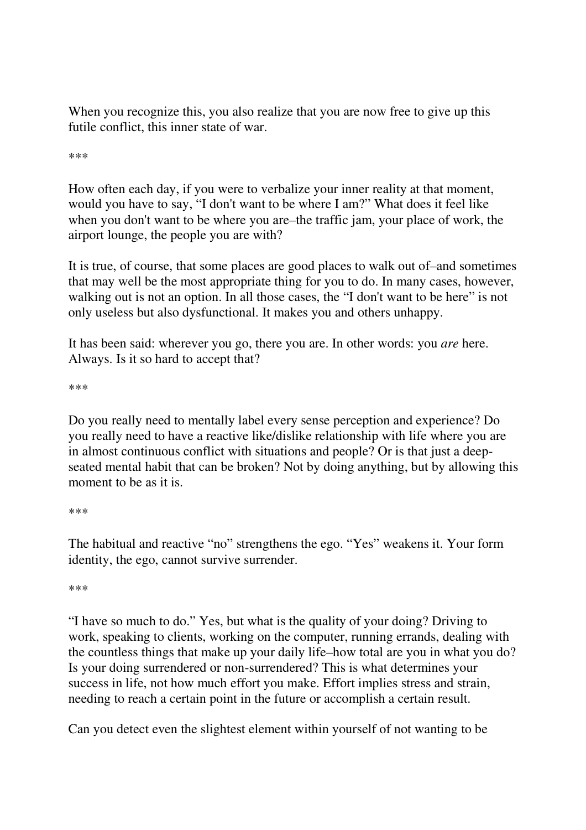When you recognize this, you also realize that you are now free to give up this futile conflict, this inner state of war.

\*\*\*

How often each day, if you were to verbalize your inner reality at that moment, would you have to say, "I don't want to be where I am?" What does it feel like when you don't want to be where you are–the traffic jam, your place of work, the airport lounge, the people you are with?

It is true, of course, that some places are good places to walk out of–and sometimes that may well be the most appropriate thing for you to do. In many cases, however, walking out is not an option. In all those cases, the "I don't want to be here" is not only useless but also dysfunctional. It makes you and others unhappy.

It has been said: wherever you go, there you are. In other words: you *are* here. Always. Is it so hard to accept that?

\*\*\*

Do you really need to mentally label every sense perception and experience? Do you really need to have a reactive like/dislike relationship with life where you are in almost continuous conflict with situations and people? Or is that just a deepseated mental habit that can be broken? Not by doing anything, but by allowing this moment to be as it is.

\*\*\*

The habitual and reactive "no" strengthens the ego. "Yes" weakens it. Your form identity, the ego, cannot survive surrender.

\*\*\*

"I have so much to do." Yes, but what is the quality of your doing? Driving to work, speaking to clients, working on the computer, running errands, dealing with the countless things that make up your daily life–how total are you in what you do? Is your doing surrendered or non-surrendered? This is what determines your success in life, not how much effort you make. Effort implies stress and strain, needing to reach a certain point in the future or accomplish a certain result.

Can you detect even the slightest element within yourself of not wanting to be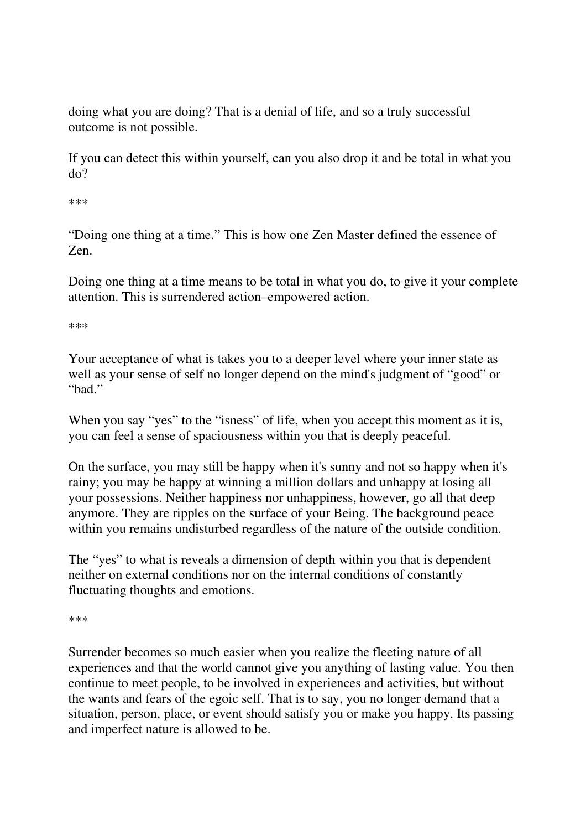doing what you are doing? That is a denial of life, and so a truly successful outcome is not possible.

If you can detect this within yourself, can you also drop it and be total in what you do?

\*\*\*

"Doing one thing at a time." This is how one Zen Master defined the essence of Zen.

Doing one thing at a time means to be total in what you do, to give it your complete attention. This is surrendered action–empowered action.

\*\*\*

Your acceptance of what is takes you to a deeper level where your inner state as well as your sense of self no longer depend on the mind's judgment of "good" or "bad."

When you say "yes" to the "isness" of life, when you accept this moment as it is, you can feel a sense of spaciousness within you that is deeply peaceful.

On the surface, you may still be happy when it's sunny and not so happy when it's rainy; you may be happy at winning a million dollars and unhappy at losing all your possessions. Neither happiness nor unhappiness, however, go all that deep anymore. They are ripples on the surface of your Being. The background peace within you remains undisturbed regardless of the nature of the outside condition.

The "yes" to what is reveals a dimension of depth within you that is dependent neither on external conditions nor on the internal conditions of constantly fluctuating thoughts and emotions.

\*\*\*

Surrender becomes so much easier when you realize the fleeting nature of all experiences and that the world cannot give you anything of lasting value. You then continue to meet people, to be involved in experiences and activities, but without the wants and fears of the egoic self. That is to say, you no longer demand that a situation, person, place, or event should satisfy you or make you happy. Its passing and imperfect nature is allowed to be.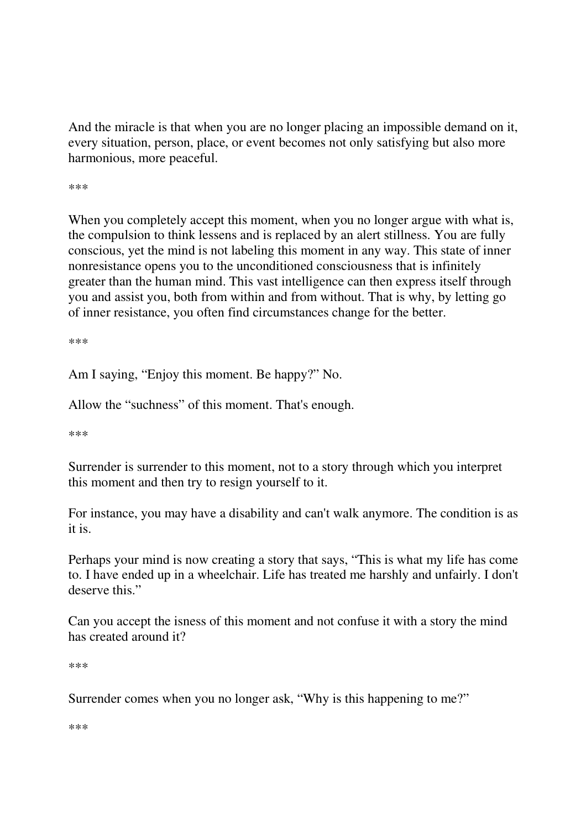And the miracle is that when you are no longer placing an impossible demand on it, every situation, person, place, or event becomes not only satisfying but also more harmonious, more peaceful.

\*\*\*

When you completely accept this moment, when you no longer argue with what is, the compulsion to think lessens and is replaced by an alert stillness. You are fully conscious, yet the mind is not labeling this moment in any way. This state of inner nonresistance opens you to the unconditioned consciousness that is infinitely greater than the human mind. This vast intelligence can then express itself through you and assist you, both from within and from without. That is why, by letting go of inner resistance, you often find circumstances change for the better.

\*\*\*

Am I saying, "Enjoy this moment. Be happy?" No.

Allow the "suchness" of this moment. That's enough.

\*\*\*

Surrender is surrender to this moment, not to a story through which you interpret this moment and then try to resign yourself to it.

For instance, you may have a disability and can't walk anymore. The condition is as it is.

Perhaps your mind is now creating a story that says, "This is what my life has come to. I have ended up in a wheelchair. Life has treated me harshly and unfairly. I don't deserve this."

Can you accept the isness of this moment and not confuse it with a story the mind has created around it?

\*\*\*

Surrender comes when you no longer ask, "Why is this happening to me?"

\*\*\*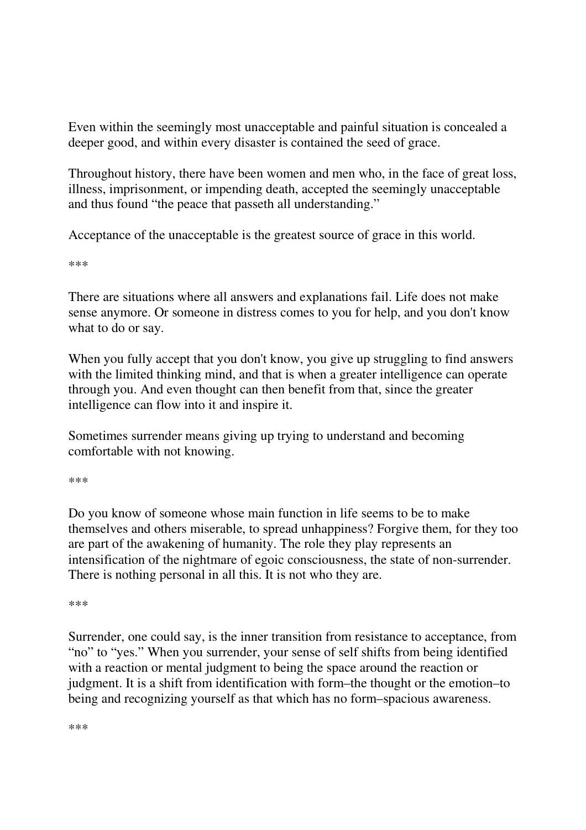Even within the seemingly most unacceptable and painful situation is concealed a deeper good, and within every disaster is contained the seed of grace.

Throughout history, there have been women and men who, in the face of great loss, illness, imprisonment, or impending death, accepted the seemingly unacceptable and thus found "the peace that passeth all understanding."

Acceptance of the unacceptable is the greatest source of grace in this world.

\*\*\*

There are situations where all answers and explanations fail. Life does not make sense anymore. Or someone in distress comes to you for help, and you don't know what to do or say.

When you fully accept that you don't know, you give up struggling to find answers with the limited thinking mind, and that is when a greater intelligence can operate through you. And even thought can then benefit from that, since the greater intelligence can flow into it and inspire it.

Sometimes surrender means giving up trying to understand and becoming comfortable with not knowing.

\*\*\*

Do you know of someone whose main function in life seems to be to make themselves and others miserable, to spread unhappiness? Forgive them, for they too are part of the awakening of humanity. The role they play represents an intensification of the nightmare of egoic consciousness, the state of non-surrender. There is nothing personal in all this. It is not who they are.

\*\*\*

Surrender, one could say, is the inner transition from resistance to acceptance, from "no" to "yes." When you surrender, your sense of self shifts from being identified with a reaction or mental judgment to being the space around the reaction or judgment. It is a shift from identification with form–the thought or the emotion–to being and recognizing yourself as that which has no form–spacious awareness.

\*\*\*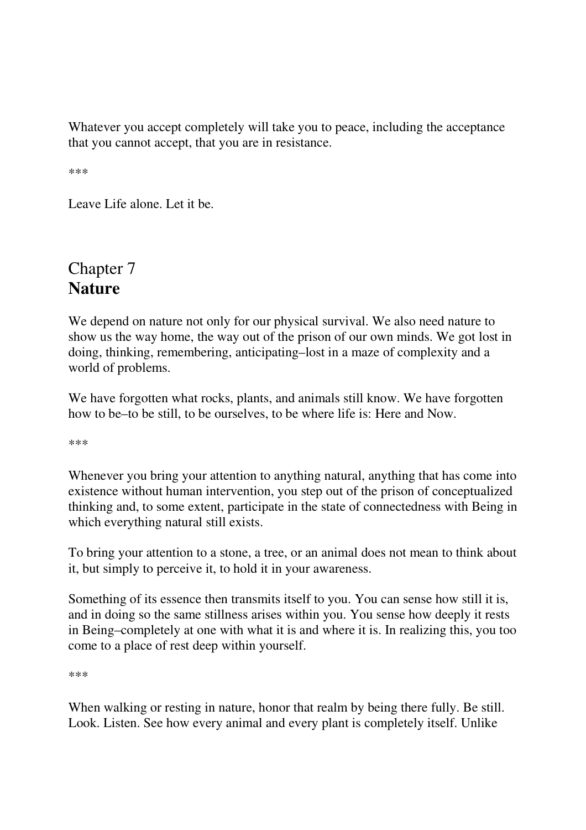Whatever you accept completely will take you to peace, including the acceptance that you cannot accept, that you are in resistance.

\*\*\*

Leave Life alone. Let it be.

#### Chapter 7 **Nature**

We depend on nature not only for our physical survival. We also need nature to show us the way home, the way out of the prison of our own minds. We got lost in doing, thinking, remembering, anticipating–lost in a maze of complexity and a world of problems.

We have forgotten what rocks, plants, and animals still know. We have forgotten how to be–to be still, to be ourselves, to be where life is: Here and Now.

\*\*\*

Whenever you bring your attention to anything natural, anything that has come into existence without human intervention, you step out of the prison of conceptualized thinking and, to some extent, participate in the state of connectedness with Being in which everything natural still exists.

To bring your attention to a stone, a tree, or an animal does not mean to think about it, but simply to perceive it, to hold it in your awareness.

Something of its essence then transmits itself to you. You can sense how still it is, and in doing so the same stillness arises within you. You sense how deeply it rests in Being–completely at one with what it is and where it is. In realizing this, you too come to a place of rest deep within yourself.

\*\*\*

When walking or resting in nature, honor that realm by being there fully. Be still. Look. Listen. See how every animal and every plant is completely itself. Unlike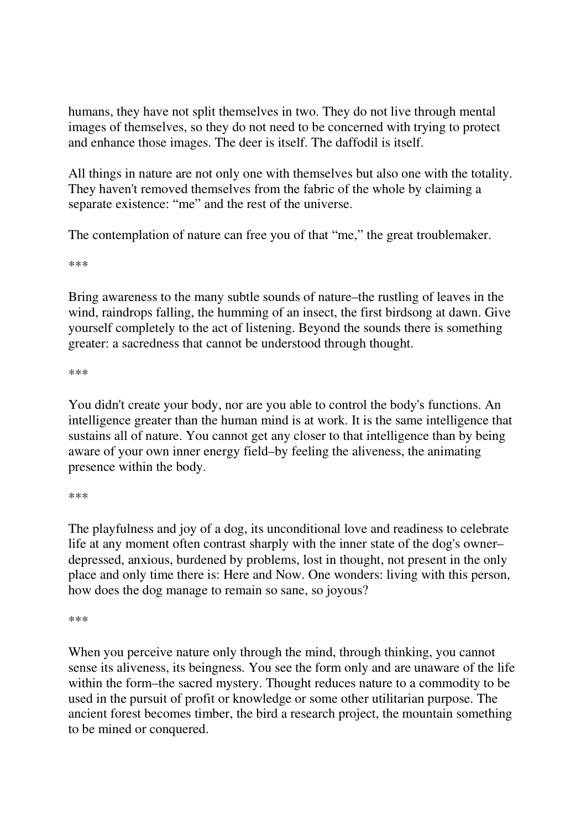humans, they have not split themselves in two. They do not live through mental images of themselves, so they do not need to be concerned with trying to protect and enhance those images. The deer is itself. The daffodil is itself.

All things in nature are not only one with themselves but also one with the totality. They haven't removed themselves from the fabric of the whole by claiming a separate existence: "me" and the rest of the universe.

The contemplation of nature can free you of that "me," the great troublemaker.

\*\*\*

Bring awareness to the many subtle sounds of nature–the rustling of leaves in the wind, raindrops falling, the humming of an insect, the first birdsong at dawn. Give yourself completely to the act of listening. Beyond the sounds there is something greater: a sacredness that cannot be understood through thought.

\*\*\*

You didn't create your body, nor are you able to control the body's functions. An intelligence greater than the human mind is at work. It is the same intelligence that sustains all of nature. You cannot get any closer to that intelligence than by being aware of your own inner energy field–by feeling the aliveness, the animating presence within the body.

\*\*\*

The playfulness and joy of a dog, its unconditional love and readiness to celebrate life at any moment often contrast sharply with the inner state of the dog's owner– depressed, anxious, burdened by problems, lost in thought, not present in the only place and only time there is: Here and Now. One wonders: living with this person, how does the dog manage to remain so sane, so joyous?

\*\*\*

When you perceive nature only through the mind, through thinking, you cannot sense its aliveness, its beingness. You see the form only and are unaware of the life within the form–the sacred mystery. Thought reduces nature to a commodity to be used in the pursuit of profit or knowledge or some other utilitarian purpose. The ancient forest becomes timber, the bird a research project, the mountain something to be mined or conquered.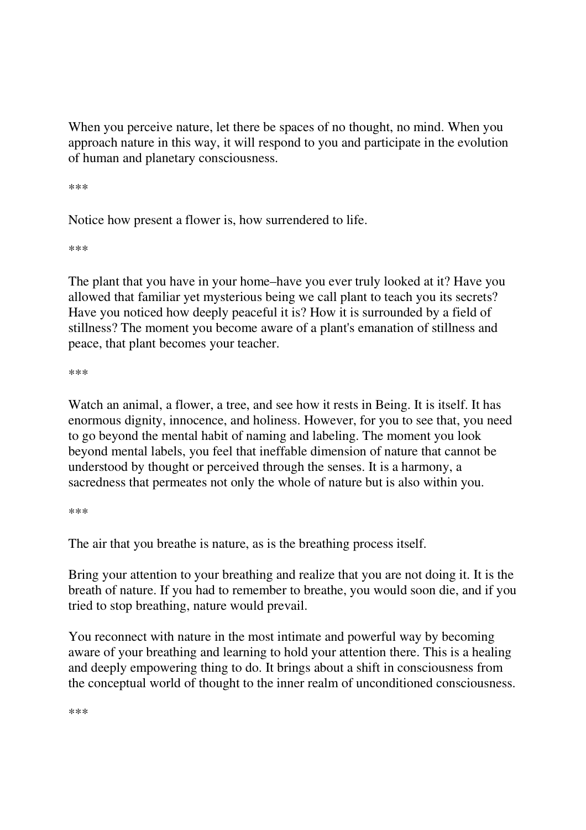When you perceive nature, let there be spaces of no thought, no mind. When you approach nature in this way, it will respond to you and participate in the evolution of human and planetary consciousness.

\*\*\*

Notice how present a flower is, how surrendered to life.

\*\*\*

The plant that you have in your home–have you ever truly looked at it? Have you allowed that familiar yet mysterious being we call plant to teach you its secrets? Have you noticed how deeply peaceful it is? How it is surrounded by a field of stillness? The moment you become aware of a plant's emanation of stillness and peace, that plant becomes your teacher.

\*\*\*

Watch an animal, a flower, a tree, and see how it rests in Being. It is itself. It has enormous dignity, innocence, and holiness. However, for you to see that, you need to go beyond the mental habit of naming and labeling. The moment you look beyond mental labels, you feel that ineffable dimension of nature that cannot be understood by thought or perceived through the senses. It is a harmony, a sacredness that permeates not only the whole of nature but is also within you.

\*\*\*

The air that you breathe is nature, as is the breathing process itself.

Bring your attention to your breathing and realize that you are not doing it. It is the breath of nature. If you had to remember to breathe, you would soon die, and if you tried to stop breathing, nature would prevail.

You reconnect with nature in the most intimate and powerful way by becoming aware of your breathing and learning to hold your attention there. This is a healing and deeply empowering thing to do. It brings about a shift in consciousness from the conceptual world of thought to the inner realm of unconditioned consciousness.

\*\*\*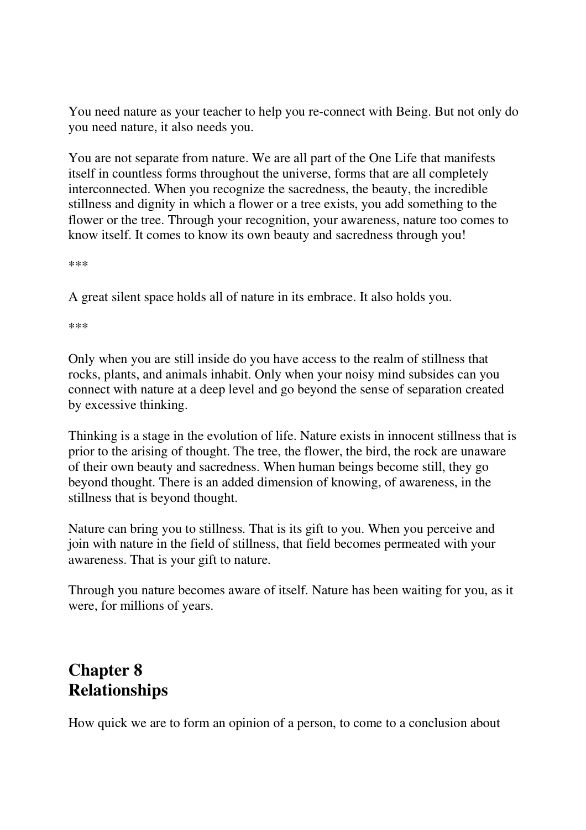You need nature as your teacher to help you re-connect with Being. But not only do you need nature, it also needs you.

You are not separate from nature. We are all part of the One Life that manifests itself in countless forms throughout the universe, forms that are all completely interconnected. When you recognize the sacredness, the beauty, the incredible stillness and dignity in which a flower or a tree exists, you add something to the flower or the tree. Through your recognition, your awareness, nature too comes to know itself. It comes to know its own beauty and sacredness through you!

\*\*\*

A great silent space holds all of nature in its embrace. It also holds you.

\*\*\*

Only when you are still inside do you have access to the realm of stillness that rocks, plants, and animals inhabit. Only when your noisy mind subsides can you connect with nature at a deep level and go beyond the sense of separation created by excessive thinking.

Thinking is a stage in the evolution of life. Nature exists in innocent stillness that is prior to the arising of thought. The tree, the flower, the bird, the rock are unaware of their own beauty and sacredness. When human beings become still, they go beyond thought. There is an added dimension of knowing, of awareness, in the stillness that is beyond thought.

Nature can bring you to stillness. That is its gift to you. When you perceive and join with nature in the field of stillness, that field becomes permeated with your awareness. That is your gift to nature.

Through you nature becomes aware of itself. Nature has been waiting for you, as it were, for millions of years.

## **Chapter 8 Relationships**

How quick we are to form an opinion of a person, to come to a conclusion about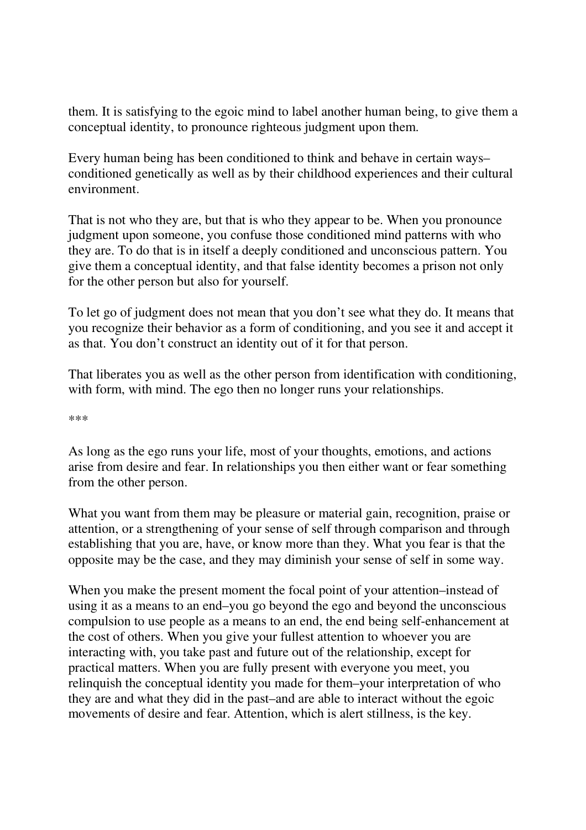them. It is satisfying to the egoic mind to label another human being, to give them a conceptual identity, to pronounce righteous judgment upon them.

Every human being has been conditioned to think and behave in certain ways– conditioned genetically as well as by their childhood experiences and their cultural environment.

That is not who they are, but that is who they appear to be. When you pronounce judgment upon someone, you confuse those conditioned mind patterns with who they are. To do that is in itself a deeply conditioned and unconscious pattern. You give them a conceptual identity, and that false identity becomes a prison not only for the other person but also for yourself.

To let go of judgment does not mean that you don't see what they do. It means that you recognize their behavior as a form of conditioning, and you see it and accept it as that. You don't construct an identity out of it for that person.

That liberates you as well as the other person from identification with conditioning, with form, with mind. The ego then no longer runs your relationships.

\*\*\*

As long as the ego runs your life, most of your thoughts, emotions, and actions arise from desire and fear. In relationships you then either want or fear something from the other person.

What you want from them may be pleasure or material gain, recognition, praise or attention, or a strengthening of your sense of self through comparison and through establishing that you are, have, or know more than they. What you fear is that the opposite may be the case, and they may diminish your sense of self in some way.

When you make the present moment the focal point of your attention–instead of using it as a means to an end–you go beyond the ego and beyond the unconscious compulsion to use people as a means to an end, the end being self-enhancement at the cost of others. When you give your fullest attention to whoever you are interacting with, you take past and future out of the relationship, except for practical matters. When you are fully present with everyone you meet, you relinquish the conceptual identity you made for them–your interpretation of who they are and what they did in the past–and are able to interact without the egoic movements of desire and fear. Attention, which is alert stillness, is the key.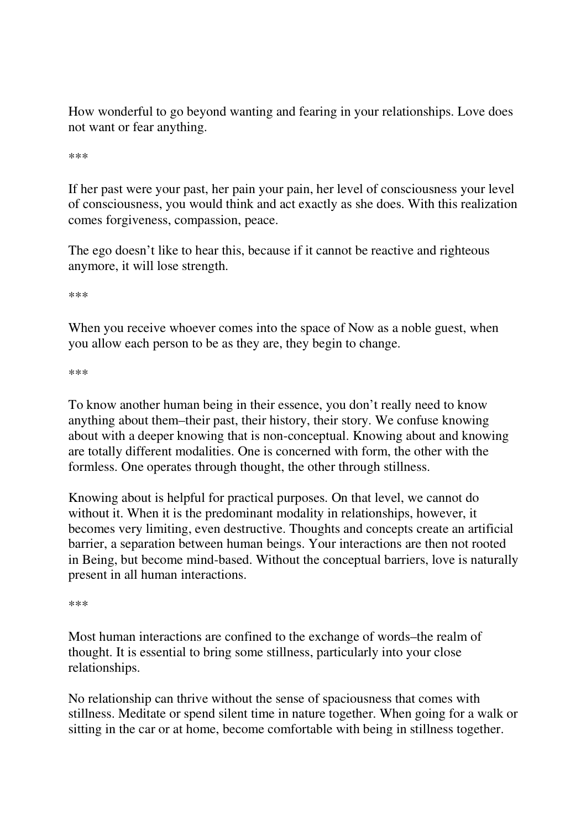How wonderful to go beyond wanting and fearing in your relationships. Love does not want or fear anything.

\*\*\*

If her past were your past, her pain your pain, her level of consciousness your level of consciousness, you would think and act exactly as she does. With this realization comes forgiveness, compassion, peace.

The ego doesn't like to hear this, because if it cannot be reactive and righteous anymore, it will lose strength.

\*\*\*

When you receive whoever comes into the space of Now as a noble guest, when you allow each person to be as they are, they begin to change.

\*\*\*

To know another human being in their essence, you don't really need to know anything about them–their past, their history, their story. We confuse knowing about with a deeper knowing that is non-conceptual. Knowing about and knowing are totally different modalities. One is concerned with form, the other with the formless. One operates through thought, the other through stillness.

Knowing about is helpful for practical purposes. On that level, we cannot do without it. When it is the predominant modality in relationships, however, it becomes very limiting, even destructive. Thoughts and concepts create an artificial barrier, a separation between human beings. Your interactions are then not rooted in Being, but become mind-based. Without the conceptual barriers, love is naturally present in all human interactions.

\*\*\*

Most human interactions are confined to the exchange of words–the realm of thought. It is essential to bring some stillness, particularly into your close relationships.

No relationship can thrive without the sense of spaciousness that comes with stillness. Meditate or spend silent time in nature together. When going for a walk or sitting in the car or at home, become comfortable with being in stillness together.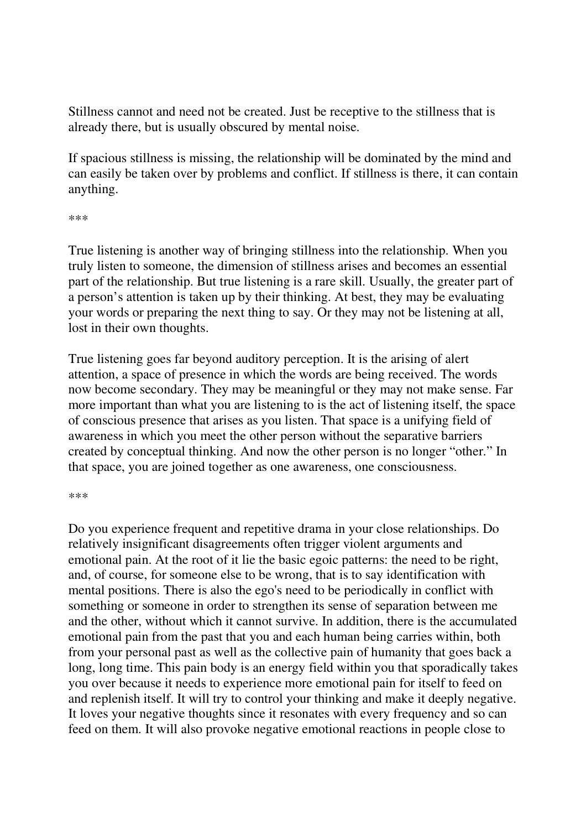Stillness cannot and need not be created. Just be receptive to the stillness that is already there, but is usually obscured by mental noise.

If spacious stillness is missing, the relationship will be dominated by the mind and can easily be taken over by problems and conflict. If stillness is there, it can contain anything.

\*\*\*

True listening is another way of bringing stillness into the relationship. When you truly listen to someone, the dimension of stillness arises and becomes an essential part of the relationship. But true listening is a rare skill. Usually, the greater part of a person's attention is taken up by their thinking. At best, they may be evaluating your words or preparing the next thing to say. Or they may not be listening at all, lost in their own thoughts.

True listening goes far beyond auditory perception. It is the arising of alert attention, a space of presence in which the words are being received. The words now become secondary. They may be meaningful or they may not make sense. Far more important than what you are listening to is the act of listening itself, the space of conscious presence that arises as you listen. That space is a unifying field of awareness in which you meet the other person without the separative barriers created by conceptual thinking. And now the other person is no longer "other." In that space, you are joined together as one awareness, one consciousness.

\*\*\*

Do you experience frequent and repetitive drama in your close relationships. Do relatively insignificant disagreements often trigger violent arguments and emotional pain. At the root of it lie the basic egoic patterns: the need to be right, and, of course, for someone else to be wrong, that is to say identification with mental positions. There is also the ego's need to be periodically in conflict with something or someone in order to strengthen its sense of separation between me and the other, without which it cannot survive. In addition, there is the accumulated emotional pain from the past that you and each human being carries within, both from your personal past as well as the collective pain of humanity that goes back a long, long time. This pain body is an energy field within you that sporadically takes you over because it needs to experience more emotional pain for itself to feed on and replenish itself. It will try to control your thinking and make it deeply negative. It loves your negative thoughts since it resonates with every frequency and so can feed on them. It will also provoke negative emotional reactions in people close to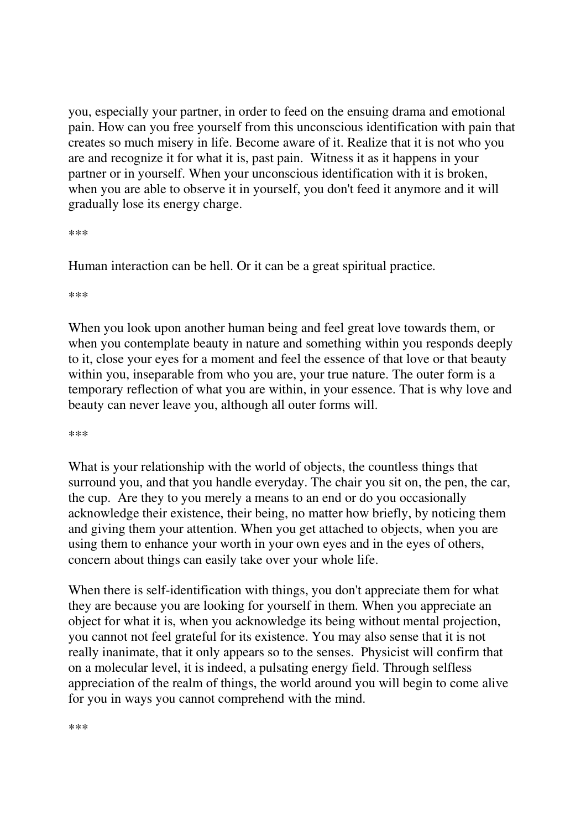you, especially your partner, in order to feed on the ensuing drama and emotional pain. How can you free yourself from this unconscious identification with pain that creates so much misery in life. Become aware of it. Realize that it is not who you are and recognize it for what it is, past pain. Witness it as it happens in your partner or in yourself. When your unconscious identification with it is broken, when you are able to observe it in yourself, you don't feed it anymore and it will gradually lose its energy charge.

\*\*\*

Human interaction can be hell. Or it can be a great spiritual practice.

\*\*\*

When you look upon another human being and feel great love towards them, or when you contemplate beauty in nature and something within you responds deeply to it, close your eyes for a moment and feel the essence of that love or that beauty within you, inseparable from who you are, your true nature. The outer form is a temporary reflection of what you are within, in your essence. That is why love and beauty can never leave you, although all outer forms will.

\*\*\*

What is your relationship with the world of objects, the countless things that surround you, and that you handle everyday. The chair you sit on, the pen, the car, the cup. Are they to you merely a means to an end or do you occasionally acknowledge their existence, their being, no matter how briefly, by noticing them and giving them your attention. When you get attached to objects, when you are using them to enhance your worth in your own eyes and in the eyes of others, concern about things can easily take over your whole life.

When there is self-identification with things, you don't appreciate them for what they are because you are looking for yourself in them. When you appreciate an object for what it is, when you acknowledge its being without mental projection, you cannot not feel grateful for its existence. You may also sense that it is not really inanimate, that it only appears so to the senses. Physicist will confirm that on a molecular level, it is indeed, a pulsating energy field. Through selfless appreciation of the realm of things, the world around you will begin to come alive for you in ways you cannot comprehend with the mind.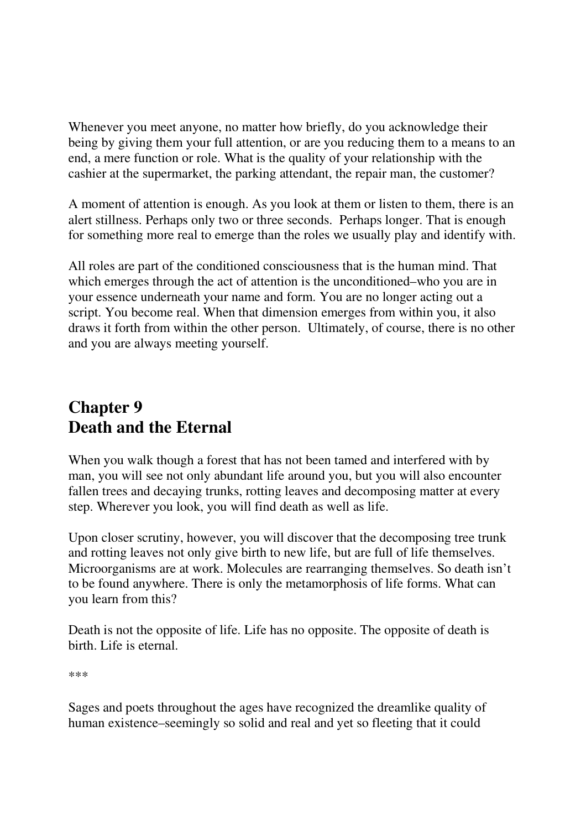Whenever you meet anyone, no matter how briefly, do you acknowledge their being by giving them your full attention, or are you reducing them to a means to an end, a mere function or role. What is the quality of your relationship with the cashier at the supermarket, the parking attendant, the repair man, the customer?

A moment of attention is enough. As you look at them or listen to them, there is an alert stillness. Perhaps only two or three seconds. Perhaps longer. That is enough for something more real to emerge than the roles we usually play and identify with.

All roles are part of the conditioned consciousness that is the human mind. That which emerges through the act of attention is the unconditioned–who you are in your essence underneath your name and form. You are no longer acting out a script. You become real. When that dimension emerges from within you, it also draws it forth from within the other person. Ultimately, of course, there is no other and you are always meeting yourself.

#### **Chapter 9 Death and the Eternal**

When you walk though a forest that has not been tamed and interfered with by man, you will see not only abundant life around you, but you will also encounter fallen trees and decaying trunks, rotting leaves and decomposing matter at every step. Wherever you look, you will find death as well as life.

Upon closer scrutiny, however, you will discover that the decomposing tree trunk and rotting leaves not only give birth to new life, but are full of life themselves. Microorganisms are at work. Molecules are rearranging themselves. So death isn't to be found anywhere. There is only the metamorphosis of life forms. What can you learn from this?

Death is not the opposite of life. Life has no opposite. The opposite of death is birth. Life is eternal.

\*\*\*

Sages and poets throughout the ages have recognized the dreamlike quality of human existence–seemingly so solid and real and yet so fleeting that it could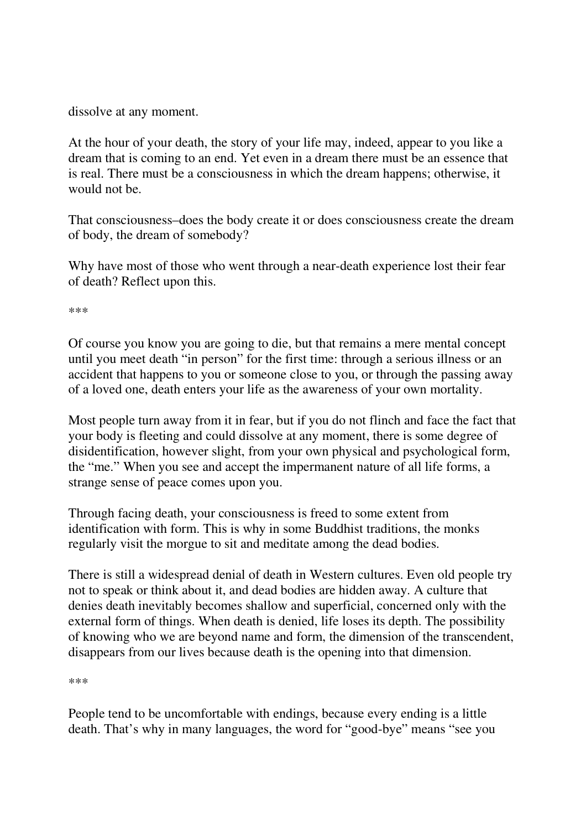dissolve at any moment.

At the hour of your death, the story of your life may, indeed, appear to you like a dream that is coming to an end. Yet even in a dream there must be an essence that is real. There must be a consciousness in which the dream happens; otherwise, it would not be.

That consciousness–does the body create it or does consciousness create the dream of body, the dream of somebody?

Why have most of those who went through a near-death experience lost their fear of death? Reflect upon this.

\*\*\*

Of course you know you are going to die, but that remains a mere mental concept until you meet death "in person" for the first time: through a serious illness or an accident that happens to you or someone close to you, or through the passing away of a loved one, death enters your life as the awareness of your own mortality.

Most people turn away from it in fear, but if you do not flinch and face the fact that your body is fleeting and could dissolve at any moment, there is some degree of disidentification, however slight, from your own physical and psychological form, the "me." When you see and accept the impermanent nature of all life forms, a strange sense of peace comes upon you.

Through facing death, your consciousness is freed to some extent from identification with form. This is why in some Buddhist traditions, the monks regularly visit the morgue to sit and meditate among the dead bodies.

There is still a widespread denial of death in Western cultures. Even old people try not to speak or think about it, and dead bodies are hidden away. A culture that denies death inevitably becomes shallow and superficial, concerned only with the external form of things. When death is denied, life loses its depth. The possibility of knowing who we are beyond name and form, the dimension of the transcendent, disappears from our lives because death is the opening into that dimension.

\*\*\*

People tend to be uncomfortable with endings, because every ending is a little death. That's why in many languages, the word for "good-bye" means "see you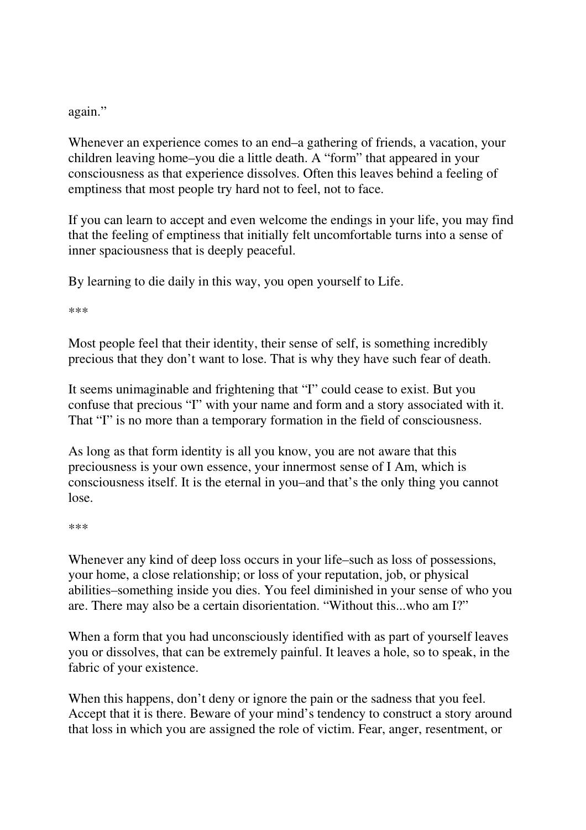again."

Whenever an experience comes to an end–a gathering of friends, a vacation, your children leaving home–you die a little death. A "form" that appeared in your consciousness as that experience dissolves. Often this leaves behind a feeling of emptiness that most people try hard not to feel, not to face.

If you can learn to accept and even welcome the endings in your life, you may find that the feeling of emptiness that initially felt uncomfortable turns into a sense of inner spaciousness that is deeply peaceful.

By learning to die daily in this way, you open yourself to Life.

\*\*\*

Most people feel that their identity, their sense of self, is something incredibly precious that they don't want to lose. That is why they have such fear of death.

It seems unimaginable and frightening that "I" could cease to exist. But you confuse that precious "I" with your name and form and a story associated with it. That "I" is no more than a temporary formation in the field of consciousness.

As long as that form identity is all you know, you are not aware that this preciousness is your own essence, your innermost sense of I Am, which is consciousness itself. It is the eternal in you–and that's the only thing you cannot lose.

\*\*\*

Whenever any kind of deep loss occurs in your life–such as loss of possessions, your home, a close relationship; or loss of your reputation, job, or physical abilities–something inside you dies. You feel diminished in your sense of who you are. There may also be a certain disorientation. "Without this...who am I?"

When a form that you had unconsciously identified with as part of yourself leaves you or dissolves, that can be extremely painful. It leaves a hole, so to speak, in the fabric of your existence.

When this happens, don't deny or ignore the pain or the sadness that you feel. Accept that it is there. Beware of your mind's tendency to construct a story around that loss in which you are assigned the role of victim. Fear, anger, resentment, or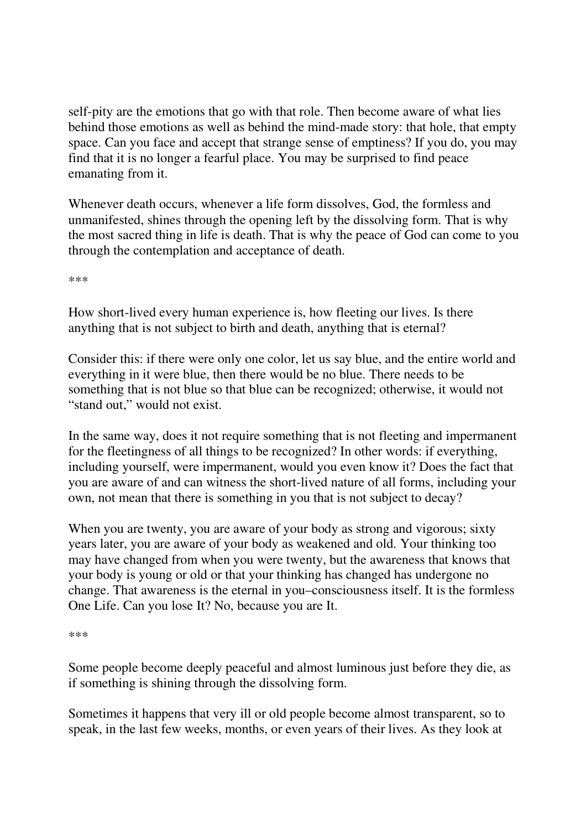self-pity are the emotions that go with that role. Then become aware of what lies behind those emotions as well as behind the mind-made story: that hole, that empty space. Can you face and accept that strange sense of emptiness? If you do, you may find that it is no longer a fearful place. You may be surprised to find peace emanating from it.

Whenever death occurs, whenever a life form dissolves, God, the formless and unmanifested, shines through the opening left by the dissolving form. That is why the most sacred thing in life is death. That is why the peace of God can come to you through the contemplation and acceptance of death.

\*\*\*

How short-lived every human experience is, how fleeting our lives. Is there anything that is not subject to birth and death, anything that is eternal?

Consider this: if there were only one color, let us say blue, and the entire world and everything in it were blue, then there would be no blue. There needs to be something that is not blue so that blue can be recognized; otherwise, it would not "stand out," would not exist.

In the same way, does it not require something that is not fleeting and impermanent for the fleetingness of all things to be recognized? In other words: if everything, including yourself, were impermanent, would you even know it? Does the fact that you are aware of and can witness the short-lived nature of all forms, including your own, not mean that there is something in you that is not subject to decay?

When you are twenty, you are aware of your body as strong and vigorous; sixty years later, you are aware of your body as weakened and old. Your thinking too may have changed from when you were twenty, but the awareness that knows that your body is young or old or that your thinking has changed has undergone no change. That awareness is the eternal in you–consciousness itself. It is the formless One Life. Can you lose It? No, because you are It.

\*\*\*

Some people become deeply peaceful and almost luminous just before they die, as if something is shining through the dissolving form.

Sometimes it happens that very ill or old people become almost transparent, so to speak, in the last few weeks, months, or even years of their lives. As they look at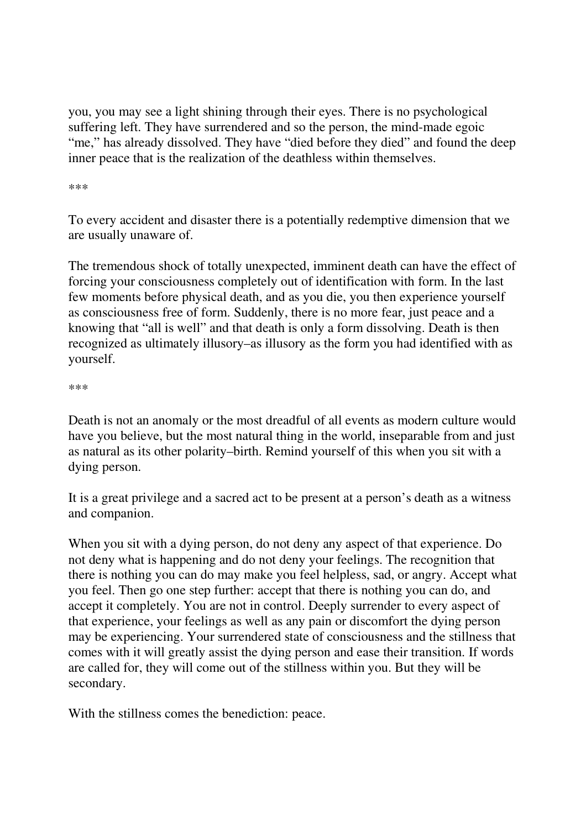you, you may see a light shining through their eyes. There is no psychological suffering left. They have surrendered and so the person, the mind-made egoic "me," has already dissolved. They have "died before they died" and found the deep inner peace that is the realization of the deathless within themselves.

#### \*\*\*

To every accident and disaster there is a potentially redemptive dimension that we are usually unaware of.

The tremendous shock of totally unexpected, imminent death can have the effect of forcing your consciousness completely out of identification with form. In the last few moments before physical death, and as you die, you then experience yourself as consciousness free of form. Suddenly, there is no more fear, just peace and a knowing that "all is well" and that death is only a form dissolving. Death is then recognized as ultimately illusory–as illusory as the form you had identified with as yourself.

#### \*\*\*

Death is not an anomaly or the most dreadful of all events as modern culture would have you believe, but the most natural thing in the world, inseparable from and just as natural as its other polarity–birth. Remind yourself of this when you sit with a dying person.

It is a great privilege and a sacred act to be present at a person's death as a witness and companion.

When you sit with a dying person, do not deny any aspect of that experience. Do not deny what is happening and do not deny your feelings. The recognition that there is nothing you can do may make you feel helpless, sad, or angry. Accept what you feel. Then go one step further: accept that there is nothing you can do, and accept it completely. You are not in control. Deeply surrender to every aspect of that experience, your feelings as well as any pain or discomfort the dying person may be experiencing. Your surrendered state of consciousness and the stillness that comes with it will greatly assist the dying person and ease their transition. If words are called for, they will come out of the stillness within you. But they will be secondary.

With the stillness comes the benediction: peace.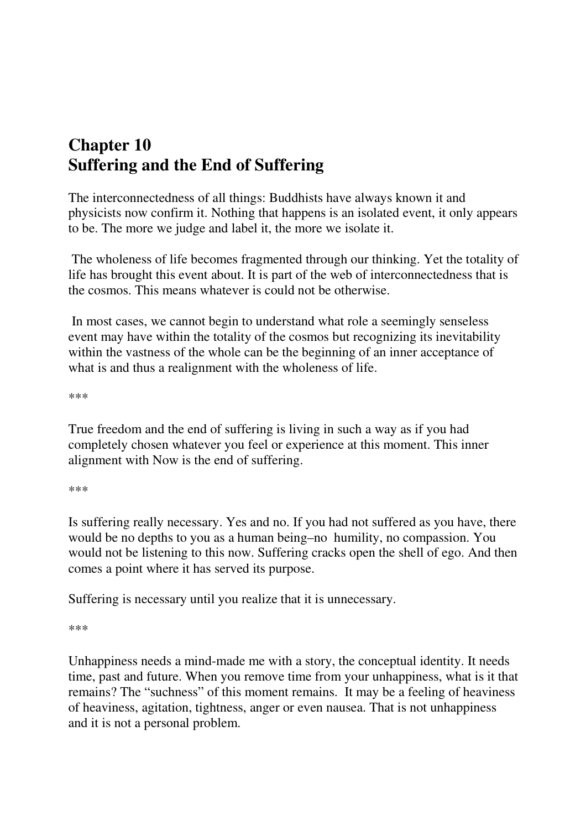## **Chapter 10 Suffering and the End of Suffering**

The interconnectedness of all things: Buddhists have always known it and physicists now confirm it. Nothing that happens is an isolated event, it only appears to be. The more we judge and label it, the more we isolate it.

 The wholeness of life becomes fragmented through our thinking. Yet the totality of life has brought this event about. It is part of the web of interconnectedness that is the cosmos. This means whatever is could not be otherwise.

 In most cases, we cannot begin to understand what role a seemingly senseless event may have within the totality of the cosmos but recognizing its inevitability within the vastness of the whole can be the beginning of an inner acceptance of what is and thus a realignment with the wholeness of life.

\*\*\*

True freedom and the end of suffering is living in such a way as if you had completely chosen whatever you feel or experience at this moment. This inner alignment with Now is the end of suffering.

\*\*\*

Is suffering really necessary. Yes and no. If you had not suffered as you have, there would be no depths to you as a human being–no humility, no compassion. You would not be listening to this now. Suffering cracks open the shell of ego. And then comes a point where it has served its purpose.

Suffering is necessary until you realize that it is unnecessary.

\*\*\*

Unhappiness needs a mind-made me with a story, the conceptual identity. It needs time, past and future. When you remove time from your unhappiness, what is it that remains? The "suchness" of this moment remains. It may be a feeling of heaviness of heaviness, agitation, tightness, anger or even nausea. That is not unhappiness and it is not a personal problem.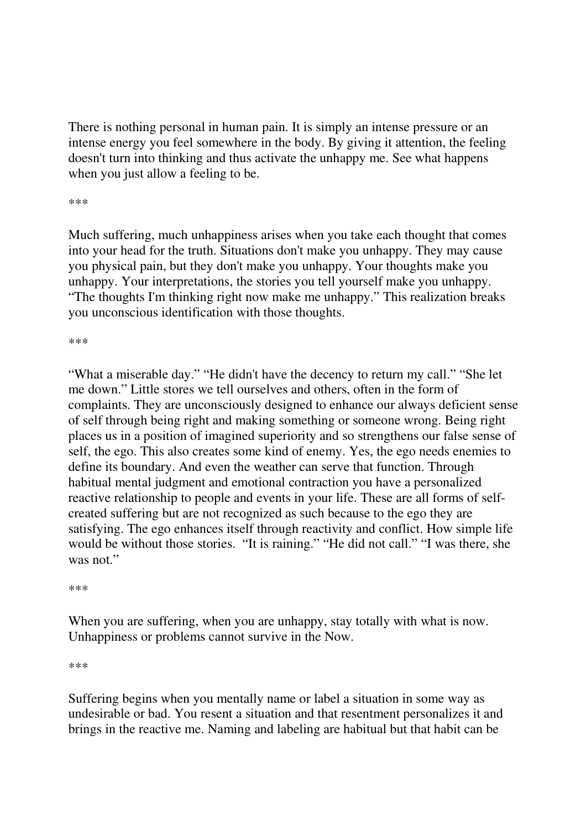There is nothing personal in human pain. It is simply an intense pressure or an intense energy you feel somewhere in the body. By giving it attention, the feeling doesn't turn into thinking and thus activate the unhappy me. See what happens when you just allow a feeling to be.

\*\*\*

Much suffering, much unhappiness arises when you take each thought that comes into your head for the truth. Situations don't make you unhappy. They may cause you physical pain, but they don't make you unhappy. Your thoughts make you unhappy. Your interpretations, the stories you tell yourself make you unhappy. "The thoughts I'm thinking right now make me unhappy." This realization breaks you unconscious identification with those thoughts.

\*\*\*

"What a miserable day." "He didn't have the decency to return my call." "She let me down." Little stores we tell ourselves and others, often in the form of complaints. They are unconsciously designed to enhance our always deficient sense of self through being right and making something or someone wrong. Being right places us in a position of imagined superiority and so strengthens our false sense of self, the ego. This also creates some kind of enemy. Yes, the ego needs enemies to define its boundary. And even the weather can serve that function. Through habitual mental judgment and emotional contraction you have a personalized reactive relationship to people and events in your life. These are all forms of selfcreated suffering but are not recognized as such because to the ego they are satisfying. The ego enhances itself through reactivity and conflict. How simple life would be without those stories. "It is raining." "He did not call." "I was there, she was not."

\*\*\*

When you are suffering, when you are unhappy, stay totally with what is now. Unhappiness or problems cannot survive in the Now.

\*\*\*

Suffering begins when you mentally name or label a situation in some way as undesirable or bad. You resent a situation and that resentment personalizes it and brings in the reactive me. Naming and labeling are habitual but that habit can be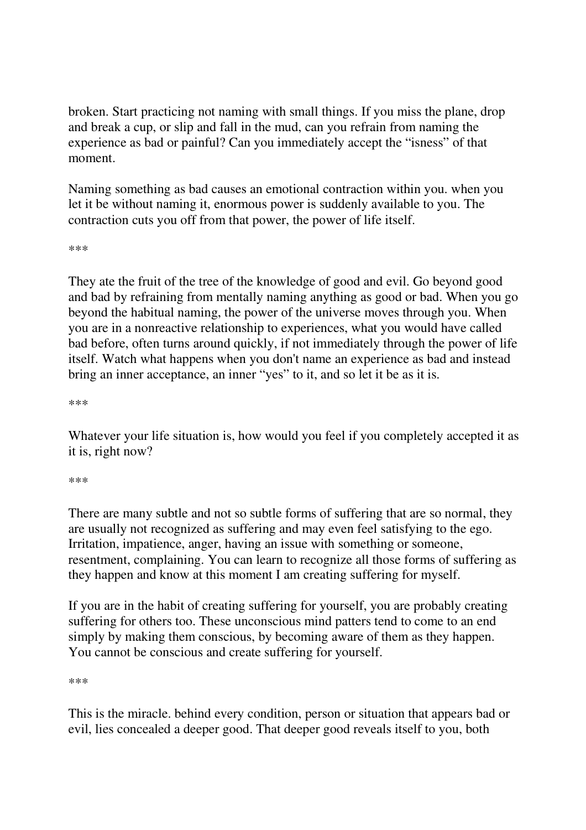broken. Start practicing not naming with small things. If you miss the plane, drop and break a cup, or slip and fall in the mud, can you refrain from naming the experience as bad or painful? Can you immediately accept the "isness" of that moment.

Naming something as bad causes an emotional contraction within you. when you let it be without naming it, enormous power is suddenly available to you. The contraction cuts you off from that power, the power of life itself.

\*\*\*

They ate the fruit of the tree of the knowledge of good and evil. Go beyond good and bad by refraining from mentally naming anything as good or bad. When you go beyond the habitual naming, the power of the universe moves through you. When you are in a nonreactive relationship to experiences, what you would have called bad before, often turns around quickly, if not immediately through the power of life itself. Watch what happens when you don't name an experience as bad and instead bring an inner acceptance, an inner "yes" to it, and so let it be as it is.

\*\*\*

Whatever your life situation is, how would you feel if you completely accepted it as it is, right now?

\*\*\*

There are many subtle and not so subtle forms of suffering that are so normal, they are usually not recognized as suffering and may even feel satisfying to the ego. Irritation, impatience, anger, having an issue with something or someone, resentment, complaining. You can learn to recognize all those forms of suffering as they happen and know at this moment I am creating suffering for myself.

If you are in the habit of creating suffering for yourself, you are probably creating suffering for others too. These unconscious mind patters tend to come to an end simply by making them conscious, by becoming aware of them as they happen. You cannot be conscious and create suffering for yourself.

\*\*\*

This is the miracle. behind every condition, person or situation that appears bad or evil, lies concealed a deeper good. That deeper good reveals itself to you, both